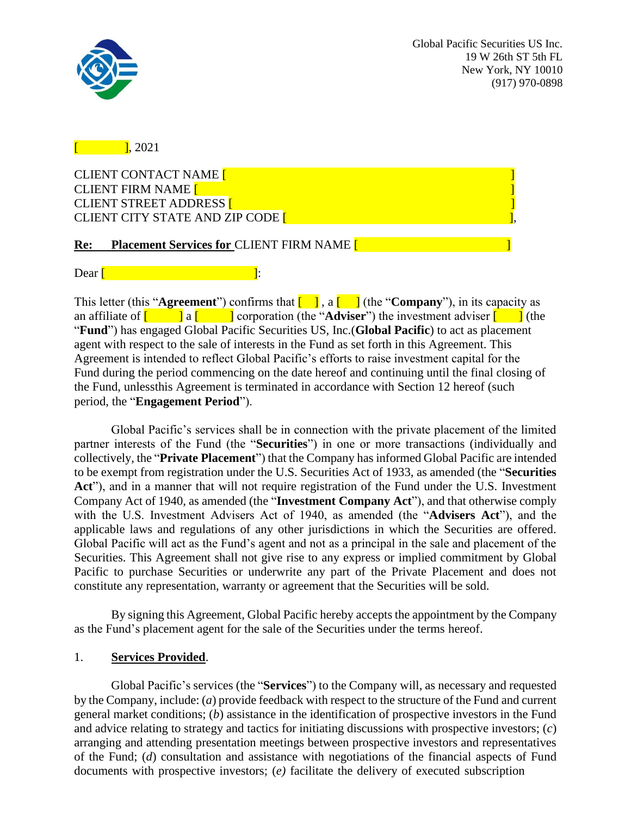

 $\overline{1}$ , 2021

CLIENT CONTACT NAME [ CLIENT FIRM NAME **[ CLIENT STREET ADDRESS [** CLIENT CITY STATE AND ZIP CODE [

# **Re: Placement Services for** CLIENT FIRM NAME [ ]

# $\Delta$ Dear  $\sqrt{ }$

This letter (this "**Agreement**") confirms that  $\begin{bmatrix} 1 \end{bmatrix}$ , a  $\begin{bmatrix} 1 \end{bmatrix}$  (the "**Company**"), in its capacity as an affiliate of  $\begin{bmatrix} 1 & 1 \\ 1 & 0 \end{bmatrix}$  a  $\begin{bmatrix} 1 & 1 \\ 0 & 1 \end{bmatrix}$  corporation (the "**Adviser**") the investment adviser  $\begin{bmatrix} 1 & 1 \\ 1 & 1 \end{bmatrix}$  (the "**Fund**") has engaged Global Pacific Securities US, Inc.(**Global Pacific**) to act as placement agent with respect to the sale of interests in the Fund as set forth in this Agreement. This Agreement is intended to reflect Global Pacific's efforts to raise investment capital for the Fund during the period commencing on the date hereof and continuing until the final closing of the Fund, unlessthis Agreement is terminated in accordance with Section 12 hereof (such period, the "**Engagement Period**").

Global Pacific's services shall be in connection with the private placement of the limited partner interests of the Fund (the "**Securities**") in one or more transactions (individually and collectively, the "**Private Placement**") that the Company has informed Global Pacific are intended to be exempt from registration under the U.S. Securities Act of 1933, as amended (the "**Securities Act**"), and in a manner that will not require registration of the Fund under the U.S. Investment Company Act of 1940, as amended (the "**Investment Company Act**"), and that otherwise comply with the U.S. Investment Advisers Act of 1940, as amended (the "**Advisers Act**"), and the applicable laws and regulations of any other jurisdictions in which the Securities are offered. Global Pacific will act as the Fund's agent and not as a principal in the sale and placement of the Securities. This Agreement shall not give rise to any express or implied commitment by Global Pacific to purchase Securities or underwrite any part of the Private Placement and does not constitute any representation, warranty or agreement that the Securities will be sold.

By signing this Agreement, Global Pacific hereby accepts the appointment by the Company as the Fund's placement agent for the sale of the Securities under the terms hereof.

# 1. **Services Provided**.

Global Pacific's services (the "**Services**") to the Company will, as necessary and requested by the Company, include: (*a*) provide feedback with respect to the structure of the Fund and current general market conditions; (*b*) assistance in the identification of prospective investors in the Fund and advice relating to strategy and tactics for initiating discussions with prospective investors; (*c*) arranging and attending presentation meetings between prospective investors and representatives of the Fund; (*d*) consultation and assistance with negotiations of the financial aspects of Fund documents with prospective investors; (*e)* facilitate the delivery of executed subscription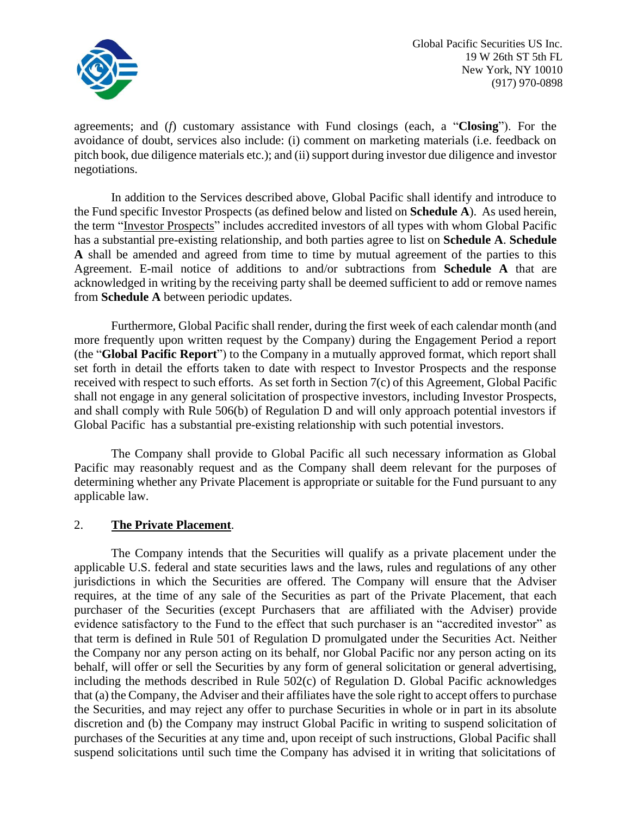

agreements; and (*f*) customary assistance with Fund closings (each, a "**Closing**"). For the avoidance of doubt, services also include: (i) comment on marketing materials (i.e. feedback on pitch book, due diligence materials etc.); and (ii) support during investor due diligence and investor negotiations.

In addition to the Services described above, Global Pacific shall identify and introduce to the Fund specific Investor Prospects (as defined below and listed on **Schedule A**). As used herein, the term "Investor Prospects" includes accredited investors of all types with whom Global Pacific has a substantial pre-existing relationship, and both parties agree to list on **Schedule A**. **Schedule A** shall be amended and agreed from time to time by mutual agreement of the parties to this Agreement. E-mail notice of additions to and/or subtractions from **Schedule A** that are acknowledged in writing by the receiving party shall be deemed sufficient to add or remove names from **Schedule A** between periodic updates.

Furthermore, Global Pacific shall render, during the first week of each calendar month (and more frequently upon written request by the Company) during the Engagement Period a report (the "**Global Pacific Report**") to the Company in a mutually approved format, which report shall set forth in detail the efforts taken to date with respect to Investor Prospects and the response received with respect to such efforts. As set forth in Section 7(c) of this Agreement, Global Pacific shall not engage in any general solicitation of prospective investors, including Investor Prospects, and shall comply with Rule 506(b) of Regulation D and will only approach potential investors if Global Pacific has a substantial pre-existing relationship with such potential investors.

The Company shall provide to Global Pacific all such necessary information as Global Pacific may reasonably request and as the Company shall deem relevant for the purposes of determining whether any Private Placement is appropriate or suitable for the Fund pursuant to any applicable law.

### 2. **The Private Placement**.

The Company intends that the Securities will qualify as a private placement under the applicable U.S. federal and state securities laws and the laws, rules and regulations of any other jurisdictions in which the Securities are offered. The Company will ensure that the Adviser requires, at the time of any sale of the Securities as part of the Private Placement, that each purchaser of the Securities (except Purchasers that are affiliated with the Adviser) provide evidence satisfactory to the Fund to the effect that such purchaser is an "accredited investor" as that term is defined in Rule 501 of Regulation D promulgated under the Securities Act. Neither the Company nor any person acting on its behalf, nor Global Pacific nor any person acting on its behalf, will offer or sell the Securities by any form of general solicitation or general advertising, including the methods described in Rule 502(c) of Regulation D. Global Pacific acknowledges that (a) the Company, the Adviser and their affiliates have the sole right to accept offers to purchase the Securities, and may reject any offer to purchase Securities in whole or in part in its absolute discretion and (b) the Company may instruct Global Pacific in writing to suspend solicitation of purchases of the Securities at any time and, upon receipt of such instructions, Global Pacific shall suspend solicitations until such time the Company has advised it in writing that solicitations of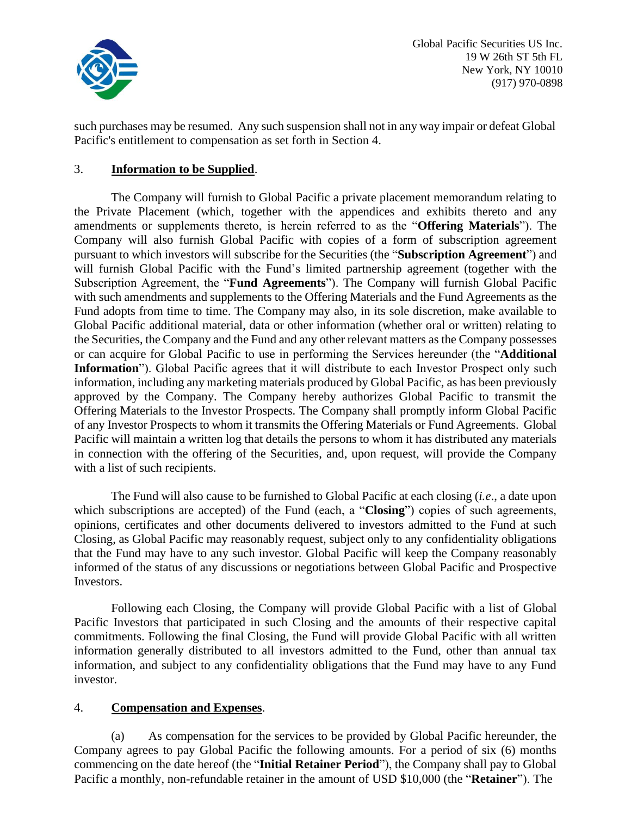

such purchases may be resumed. Any such suspension shall not in any way impair or defeat Global Pacific's entitlement to compensation as set forth in Section 4.

### 3. **Information to be Supplied**.

The Company will furnish to Global Pacific a private placement memorandum relating to the Private Placement (which, together with the appendices and exhibits thereto and any amendments or supplements thereto, is herein referred to as the "**Offering Materials**"). The Company will also furnish Global Pacific with copies of a form of subscription agreement pursuant to which investors will subscribe for the Securities (the "**Subscription Agreement**") and will furnish Global Pacific with the Fund's limited partnership agreement (together with the Subscription Agreement, the "**Fund Agreements**"). The Company will furnish Global Pacific with such amendments and supplements to the Offering Materials and the Fund Agreements as the Fund adopts from time to time. The Company may also, in its sole discretion, make available to Global Pacific additional material, data or other information (whether oral or written) relating to the Securities, the Company and the Fund and any other relevant matters as the Company possesses or can acquire for Global Pacific to use in performing the Services hereunder (the "**Additional Information**"). Global Pacific agrees that it will distribute to each Investor Prospect only such information, including any marketing materials produced by Global Pacific, as has been previously approved by the Company. The Company hereby authorizes Global Pacific to transmit the Offering Materials to the Investor Prospects. The Company shall promptly inform Global Pacific of any Investor Prospects to whom it transmits the Offering Materials or Fund Agreements. Global Pacific will maintain a written log that details the persons to whom it has distributed any materials in connection with the offering of the Securities, and, upon request, will provide the Company with a list of such recipients.

The Fund will also cause to be furnished to Global Pacific at each closing (*i.e*., a date upon which subscriptions are accepted) of the Fund (each, a "**Closing**") copies of such agreements, opinions, certificates and other documents delivered to investors admitted to the Fund at such Closing, as Global Pacific may reasonably request, subject only to any confidentiality obligations that the Fund may have to any such investor. Global Pacific will keep the Company reasonably informed of the status of any discussions or negotiations between Global Pacific and Prospective Investors.

Following each Closing, the Company will provide Global Pacific with a list of Global Pacific Investors that participated in such Closing and the amounts of their respective capital commitments. Following the final Closing, the Fund will provide Global Pacific with all written information generally distributed to all investors admitted to the Fund, other than annual tax information, and subject to any confidentiality obligations that the Fund may have to any Fund investor.

### 4. **Compensation and Expenses**.

(a) As compensation for the services to be provided by Global Pacific hereunder, the Company agrees to pay Global Pacific the following amounts. For a period of six (6) months commencing on the date hereof (the "**Initial Retainer Period**"), the Company shall pay to Global Pacific a monthly, non-refundable retainer in the amount of USD \$10,000 (the "**Retainer**"). The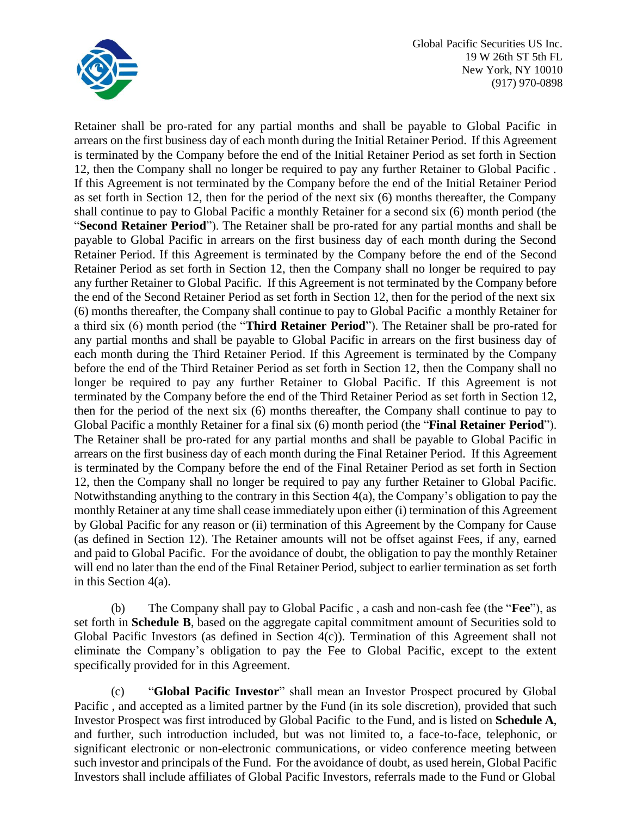

Retainer shall be pro-rated for any partial months and shall be payable to Global Pacific in arrears on the first business day of each month during the Initial Retainer Period. If this Agreement is terminated by the Company before the end of the Initial Retainer Period as set forth in Section 12, then the Company shall no longer be required to pay any further Retainer to Global Pacific . If this Agreement is not terminated by the Company before the end of the Initial Retainer Period as set forth in Section 12, then for the period of the next six (6) months thereafter, the Company shall continue to pay to Global Pacific a monthly Retainer for a second six (6) month period (the "**Second Retainer Period**"). The Retainer shall be pro-rated for any partial months and shall be payable to Global Pacific in arrears on the first business day of each month during the Second Retainer Period. If this Agreement is terminated by the Company before the end of the Second Retainer Period as set forth in Section 12, then the Company shall no longer be required to pay any further Retainer to Global Pacific. If this Agreement is not terminated by the Company before the end of the Second Retainer Period as set forth in Section 12, then for the period of the next six (6) months thereafter, the Company shall continue to pay to Global Pacific a monthly Retainer for a third six (6) month period (the "**Third Retainer Period**"). The Retainer shall be pro-rated for any partial months and shall be payable to Global Pacific in arrears on the first business day of each month during the Third Retainer Period. If this Agreement is terminated by the Company before the end of the Third Retainer Period as set forth in Section 12, then the Company shall no longer be required to pay any further Retainer to Global Pacific. If this Agreement is not terminated by the Company before the end of the Third Retainer Period as set forth in Section 12, then for the period of the next six (6) months thereafter, the Company shall continue to pay to Global Pacific a monthly Retainer for a final six (6) month period (the "**Final Retainer Period**"). The Retainer shall be pro-rated for any partial months and shall be payable to Global Pacific in arrears on the first business day of each month during the Final Retainer Period. If this Agreement is terminated by the Company before the end of the Final Retainer Period as set forth in Section 12, then the Company shall no longer be required to pay any further Retainer to Global Pacific. Notwithstanding anything to the contrary in this Section 4(a), the Company's obligation to pay the monthly Retainer at any time shall cease immediately upon either (i) termination of this Agreement by Global Pacific for any reason or (ii) termination of this Agreement by the Company for Cause (as defined in Section 12). The Retainer amounts will not be offset against Fees, if any, earned and paid to Global Pacific. For the avoidance of doubt, the obligation to pay the monthly Retainer will end no later than the end of the Final Retainer Period, subject to earlier termination as set forth in this Section 4(a).

(b) The Company shall pay to Global Pacific , a cash and non-cash fee (the "**Fee**"), as set forth in **Schedule B**, based on the aggregate capital commitment amount of Securities sold to Global Pacific Investors (as defined in Section 4(c)). Termination of this Agreement shall not eliminate the Company's obligation to pay the Fee to Global Pacific, except to the extent specifically provided for in this Agreement.

(c) "**Global Pacific Investor**" shall mean an Investor Prospect procured by Global Pacific , and accepted as a limited partner by the Fund (in its sole discretion), provided that such Investor Prospect was first introduced by Global Pacific to the Fund, and is listed on **Schedule A**, and further, such introduction included, but was not limited to, a face-to-face, telephonic, or significant electronic or non-electronic communications, or video conference meeting between such investor and principals of the Fund. For the avoidance of doubt, as used herein, Global Pacific Investors shall include affiliates of Global Pacific Investors, referrals made to the Fund or Global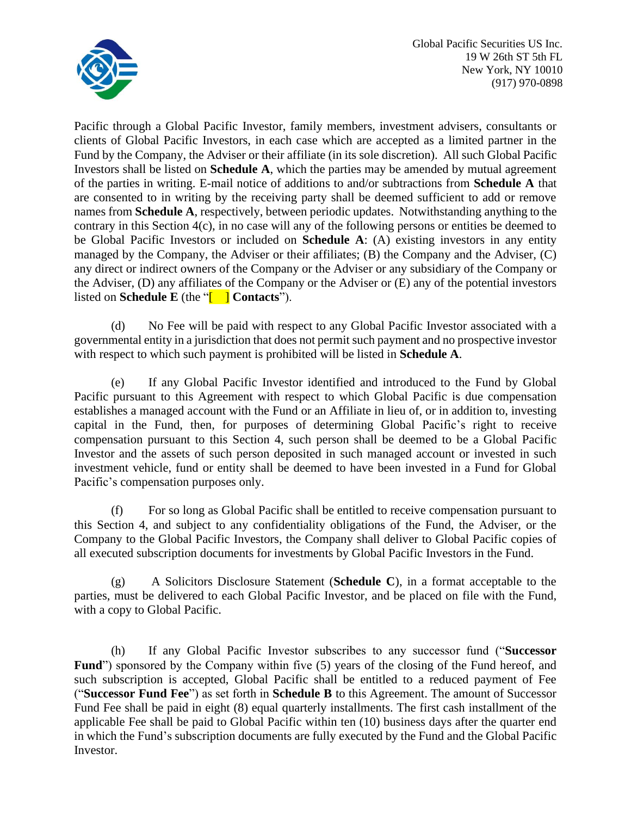

Pacific through a Global Pacific Investor, family members, investment advisers, consultants or clients of Global Pacific Investors, in each case which are accepted as a limited partner in the Fund by the Company, the Adviser or their affiliate (in its sole discretion). All such Global Pacific Investors shall be listed on **Schedule A**, which the parties may be amended by mutual agreement of the parties in writing. E-mail notice of additions to and/or subtractions from **Schedule A** that are consented to in writing by the receiving party shall be deemed sufficient to add or remove names from **Schedule A**, respectively, between periodic updates. Notwithstanding anything to the contrary in this Section 4(c), in no case will any of the following persons or entities be deemed to be Global Pacific Investors or included on **Schedule A**: (A) existing investors in any entity managed by the Company, the Adviser or their affiliates; (B) the Company and the Adviser, (C) any direct or indirect owners of the Company or the Adviser or any subsidiary of the Company or the Adviser, (D) any affiliates of the Company or the Adviser or (E) any of the potential investors listed on **Schedule E** (the "[ ] **Contacts**").

(d) No Fee will be paid with respect to any Global Pacific Investor associated with a governmental entity in a jurisdiction that does not permit such payment and no prospective investor with respect to which such payment is prohibited will be listed in **Schedule A**.

(e) If any Global Pacific Investor identified and introduced to the Fund by Global Pacific pursuant to this Agreement with respect to which Global Pacific is due compensation establishes a managed account with the Fund or an Affiliate in lieu of, or in addition to, investing capital in the Fund, then, for purposes of determining Global Pacific's right to receive compensation pursuant to this Section 4, such person shall be deemed to be a Global Pacific Investor and the assets of such person deposited in such managed account or invested in such investment vehicle, fund or entity shall be deemed to have been invested in a Fund for Global Pacific's compensation purposes only.

(f) For so long as Global Pacific shall be entitled to receive compensation pursuant to this Section 4, and subject to any confidentiality obligations of the Fund, the Adviser, or the Company to the Global Pacific Investors, the Company shall deliver to Global Pacific copies of all executed subscription documents for investments by Global Pacific Investors in the Fund.

(g) A Solicitors Disclosure Statement (**Schedule C**), in a format acceptable to the parties, must be delivered to each Global Pacific Investor, and be placed on file with the Fund, with a copy to Global Pacific.

(h) If any Global Pacific Investor subscribes to any successor fund ("**Successor** Fund<sup>"</sup>) sponsored by the Company within five (5) years of the closing of the Fund hereof, and such subscription is accepted, Global Pacific shall be entitled to a reduced payment of Fee ("**Successor Fund Fee**") as set forth in **Schedule B** to this Agreement. The amount of Successor Fund Fee shall be paid in eight (8) equal quarterly installments. The first cash installment of the applicable Fee shall be paid to Global Pacific within ten (10) business days after the quarter end in which the Fund's subscription documents are fully executed by the Fund and the Global Pacific Investor.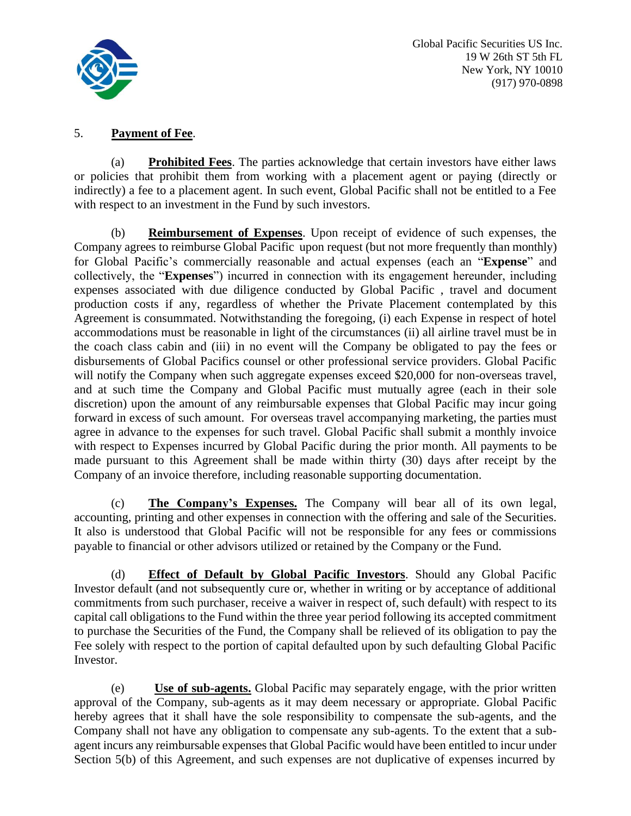

### 5. **Payment of Fee**.

(a) **Prohibited Fees**. The parties acknowledge that certain investors have either laws or policies that prohibit them from working with a placement agent or paying (directly or indirectly) a fee to a placement agent. In such event, Global Pacific shall not be entitled to a Fee with respect to an investment in the Fund by such investors.

(b) **Reimbursement of Expenses**. Upon receipt of evidence of such expenses, the Company agrees to reimburse Global Pacific upon request (but not more frequently than monthly) for Global Pacific's commercially reasonable and actual expenses (each an "**Expense**" and collectively, the "**Expenses**") incurred in connection with its engagement hereunder, including expenses associated with due diligence conducted by Global Pacific , travel and document production costs if any, regardless of whether the Private Placement contemplated by this Agreement is consummated. Notwithstanding the foregoing, (i) each Expense in respect of hotel accommodations must be reasonable in light of the circumstances (ii) all airline travel must be in the coach class cabin and (iii) in no event will the Company be obligated to pay the fees or disbursements of Global Pacifics counsel or other professional service providers. Global Pacific will notify the Company when such aggregate expenses exceed \$20,000 for non-overseas travel, and at such time the Company and Global Pacific must mutually agree (each in their sole discretion) upon the amount of any reimbursable expenses that Global Pacific may incur going forward in excess of such amount. For overseas travel accompanying marketing, the parties must agree in advance to the expenses for such travel. Global Pacific shall submit a monthly invoice with respect to Expenses incurred by Global Pacific during the prior month. All payments to be made pursuant to this Agreement shall be made within thirty (30) days after receipt by the Company of an invoice therefore, including reasonable supporting documentation.

(c) **The Company's Expenses.** The Company will bear all of its own legal, accounting, printing and other expenses in connection with the offering and sale of the Securities. It also is understood that Global Pacific will not be responsible for any fees or commissions payable to financial or other advisors utilized or retained by the Company or the Fund.

(d) **Effect of Default by Global Pacific Investors**. Should any Global Pacific Investor default (and not subsequently cure or, whether in writing or by acceptance of additional commitments from such purchaser, receive a waiver in respect of, such default) with respect to its capital call obligations to the Fund within the three year period following its accepted commitment to purchase the Securities of the Fund, the Company shall be relieved of its obligation to pay the Fee solely with respect to the portion of capital defaulted upon by such defaulting Global Pacific Investor.

(e) **Use of sub-agents.** Global Pacific may separately engage, with the prior written approval of the Company, sub-agents as it may deem necessary or appropriate. Global Pacific hereby agrees that it shall have the sole responsibility to compensate the sub-agents, and the Company shall not have any obligation to compensate any sub-agents. To the extent that a subagent incurs any reimbursable expenses that Global Pacific would have been entitled to incur under Section 5(b) of this Agreement, and such expenses are not duplicative of expenses incurred by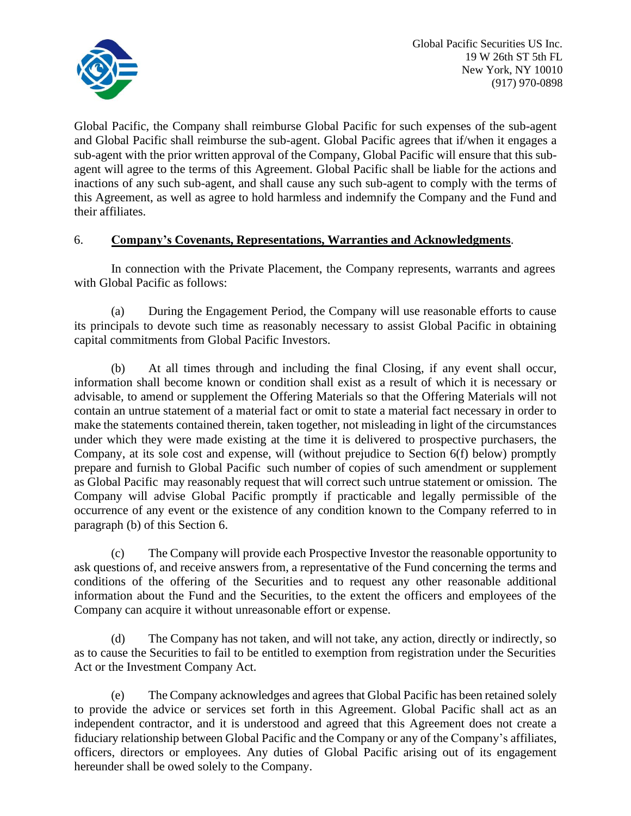

Global Pacific, the Company shall reimburse Global Pacific for such expenses of the sub-agent and Global Pacific shall reimburse the sub-agent. Global Pacific agrees that if/when it engages a sub-agent with the prior written approval of the Company, Global Pacific will ensure that this subagent will agree to the terms of this Agreement. Global Pacific shall be liable for the actions and inactions of any such sub-agent, and shall cause any such sub-agent to comply with the terms of this Agreement, as well as agree to hold harmless and indemnify the Company and the Fund and their affiliates.

# 6. **Company's Covenants, Representations, Warranties and Acknowledgments**.

In connection with the Private Placement, the Company represents, warrants and agrees with Global Pacific as follows:

(a) During the Engagement Period, the Company will use reasonable efforts to cause its principals to devote such time as reasonably necessary to assist Global Pacific in obtaining capital commitments from Global Pacific Investors.

(b) At all times through and including the final Closing, if any event shall occur, information shall become known or condition shall exist as a result of which it is necessary or advisable, to amend or supplement the Offering Materials so that the Offering Materials will not contain an untrue statement of a material fact or omit to state a material fact necessary in order to make the statements contained therein, taken together, not misleading in light of the circumstances under which they were made existing at the time it is delivered to prospective purchasers, the Company, at its sole cost and expense, will (without prejudice to Section 6(f) below) promptly prepare and furnish to Global Pacific such number of copies of such amendment or supplement as Global Pacific may reasonably request that will correct such untrue statement or omission. The Company will advise Global Pacific promptly if practicable and legally permissible of the occurrence of any event or the existence of any condition known to the Company referred to in paragraph (b) of this Section 6.

(c) The Company will provide each Prospective Investor the reasonable opportunity to ask questions of, and receive answers from, a representative of the Fund concerning the terms and conditions of the offering of the Securities and to request any other reasonable additional information about the Fund and the Securities, to the extent the officers and employees of the Company can acquire it without unreasonable effort or expense.

(d) The Company has not taken, and will not take, any action, directly or indirectly, so as to cause the Securities to fail to be entitled to exemption from registration under the Securities Act or the Investment Company Act.

(e) The Company acknowledges and agrees that Global Pacific has been retained solely to provide the advice or services set forth in this Agreement. Global Pacific shall act as an independent contractor, and it is understood and agreed that this Agreement does not create a fiduciary relationship between Global Pacific and the Company or any of the Company's affiliates, officers, directors or employees. Any duties of Global Pacific arising out of its engagement hereunder shall be owed solely to the Company.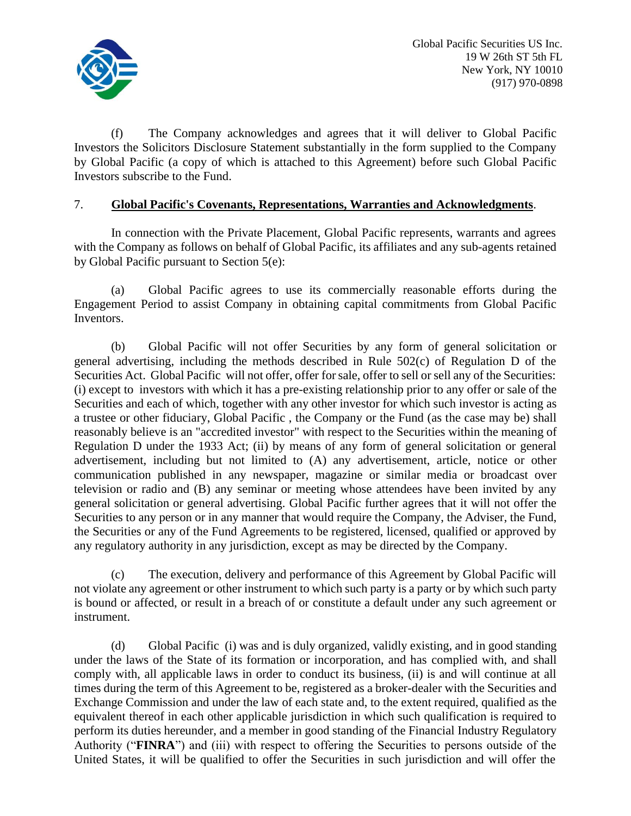

(f) The Company acknowledges and agrees that it will deliver to Global Pacific Investors the Solicitors Disclosure Statement substantially in the form supplied to the Company by Global Pacific (a copy of which is attached to this Agreement) before such Global Pacific Investors subscribe to the Fund.

### 7. **Global Pacific's Covenants, Representations, Warranties and Acknowledgments**.

In connection with the Private Placement, Global Pacific represents, warrants and agrees with the Company as follows on behalf of Global Pacific, its affiliates and any sub-agents retained by Global Pacific pursuant to Section 5(e):

(a) Global Pacific agrees to use its commercially reasonable efforts during the Engagement Period to assist Company in obtaining capital commitments from Global Pacific Inventors.

(b) Global Pacific will not offer Securities by any form of general solicitation or general advertising, including the methods described in Rule 502(c) of Regulation D of the Securities Act. Global Pacific will not offer, offer forsale, offer to sell or sell any of the Securities: (i) except to investors with which it has a pre-existing relationship prior to any offer or sale of the Securities and each of which, together with any other investor for which such investor is acting as a trustee or other fiduciary, Global Pacific , the Company or the Fund (as the case may be) shall reasonably believe is an "accredited investor" with respect to the Securities within the meaning of Regulation D under the 1933 Act; (ii) by means of any form of general solicitation or general advertisement, including but not limited to (A) any advertisement, article, notice or other communication published in any newspaper, magazine or similar media or broadcast over television or radio and (B) any seminar or meeting whose attendees have been invited by any general solicitation or general advertising. Global Pacific further agrees that it will not offer the Securities to any person or in any manner that would require the Company, the Adviser, the Fund, the Securities or any of the Fund Agreements to be registered, licensed, qualified or approved by any regulatory authority in any jurisdiction, except as may be directed by the Company.

(c) The execution, delivery and performance of this Agreement by Global Pacific will not violate any agreement or other instrument to which such party is a party or by which such party is bound or affected, or result in a breach of or constitute a default under any such agreement or instrument.

(d) Global Pacific (i) was and is duly organized, validly existing, and in good standing under the laws of the State of its formation or incorporation, and has complied with, and shall comply with, all applicable laws in order to conduct its business, (ii) is and will continue at all times during the term of this Agreement to be, registered as a broker-dealer with the Securities and Exchange Commission and under the law of each state and, to the extent required, qualified as the equivalent thereof in each other applicable jurisdiction in which such qualification is required to perform its duties hereunder, and a member in good standing of the Financial Industry Regulatory Authority ("**FINRA**") and (iii) with respect to offering the Securities to persons outside of the United States, it will be qualified to offer the Securities in such jurisdiction and will offer the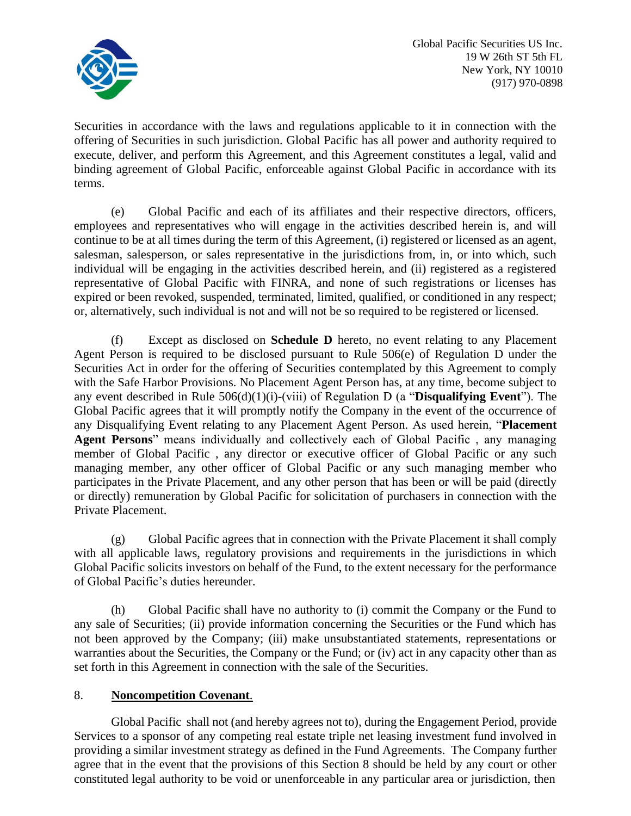

Securities in accordance with the laws and regulations applicable to it in connection with the offering of Securities in such jurisdiction. Global Pacific has all power and authority required to execute, deliver, and perform this Agreement, and this Agreement constitutes a legal, valid and binding agreement of Global Pacific, enforceable against Global Pacific in accordance with its terms.

(e) Global Pacific and each of its affiliates and their respective directors, officers, employees and representatives who will engage in the activities described herein is, and will continue to be at all times during the term of this Agreement, (i) registered or licensed as an agent, salesman, salesperson, or sales representative in the jurisdictions from, in, or into which, such individual will be engaging in the activities described herein, and (ii) registered as a registered representative of Global Pacific with FINRA, and none of such registrations or licenses has expired or been revoked, suspended, terminated, limited, qualified, or conditioned in any respect; or, alternatively, such individual is not and will not be so required to be registered or licensed.

(f) Except as disclosed on **Schedule D** hereto, no event relating to any Placement Agent Person is required to be disclosed pursuant to Rule 506(e) of Regulation D under the Securities Act in order for the offering of Securities contemplated by this Agreement to comply with the Safe Harbor Provisions. No Placement Agent Person has, at any time, become subject to any event described in Rule 506(d)(1)(i)-(viii) of Regulation D (a "**Disqualifying Event**"). The Global Pacific agrees that it will promptly notify the Company in the event of the occurrence of any Disqualifying Event relating to any Placement Agent Person. As used herein, "**Placement Agent Persons**" means individually and collectively each of Global Pacific , any managing member of Global Pacific , any director or executive officer of Global Pacific or any such managing member, any other officer of Global Pacific or any such managing member who participates in the Private Placement, and any other person that has been or will be paid (directly or directly) remuneration by Global Pacific for solicitation of purchasers in connection with the Private Placement.

(g) Global Pacific agrees that in connection with the Private Placement it shall comply with all applicable laws, regulatory provisions and requirements in the jurisdictions in which Global Pacific solicits investors on behalf of the Fund, to the extent necessary for the performance of Global Pacific's duties hereunder.

(h) Global Pacific shall have no authority to (i) commit the Company or the Fund to any sale of Securities; (ii) provide information concerning the Securities or the Fund which has not been approved by the Company; (iii) make unsubstantiated statements, representations or warranties about the Securities, the Company or the Fund; or (iv) act in any capacity other than as set forth in this Agreement in connection with the sale of the Securities.

# 8. **Noncompetition Covenant**.

Global Pacific shall not (and hereby agrees not to), during the Engagement Period, provide Services to a sponsor of any competing real estate triple net leasing investment fund involved in providing a similar investment strategy as defined in the Fund Agreements. The Company further agree that in the event that the provisions of this Section 8 should be held by any court or other constituted legal authority to be void or unenforceable in any particular area or jurisdiction, then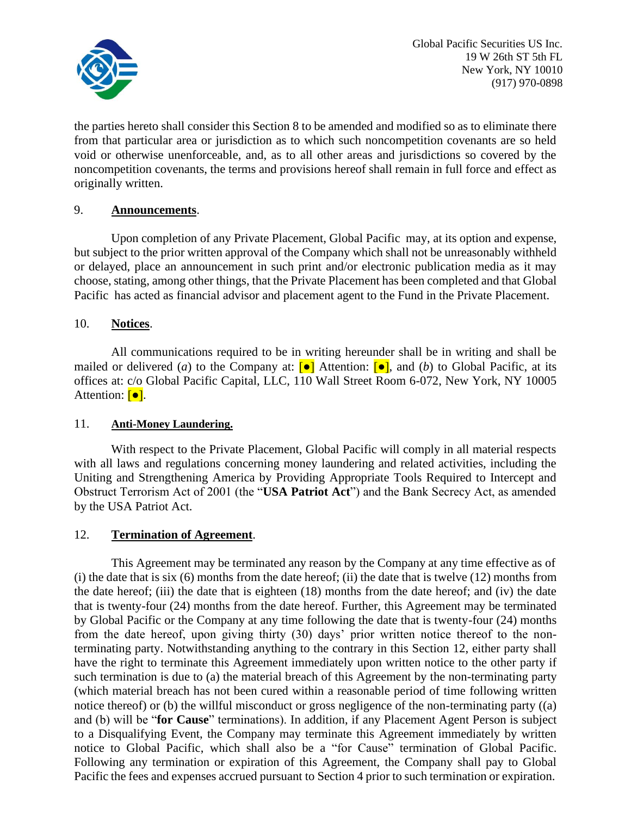

the parties hereto shall consider this Section 8 to be amended and modified so as to eliminate there from that particular area or jurisdiction as to which such noncompetition covenants are so held void or otherwise unenforceable, and, as to all other areas and jurisdictions so covered by the noncompetition covenants, the terms and provisions hereof shall remain in full force and effect as originally written.

# 9. **Announcements**.

Upon completion of any Private Placement, Global Pacific may, at its option and expense, but subject to the prior written approval of the Company which shall not be unreasonably withheld or delayed, place an announcement in such print and/or electronic publication media as it may choose, stating, among other things, that the Private Placement has been completed and that Global Pacific has acted as financial advisor and placement agent to the Fund in the Private Placement.

### 10. **Notices**.

All communications required to be in writing hereunder shall be in writing and shall be mailed or delivered (*a*) to the Company at:  $\begin{bmatrix} \bullet \end{bmatrix}$  Attention:  $\begin{bmatrix} \bullet \end{bmatrix}$ , and (*b*) to Global Pacific, at its offices at: c/o Global Pacific Capital, LLC, 110 Wall Street Room 6-072, New York, NY 10005 Attention:  $\boxed{\bullet}$ .

### 11. **Anti-Money Laundering.**

With respect to the Private Placement, Global Pacific will comply in all material respects with all laws and regulations concerning money laundering and related activities, including the Uniting and Strengthening America by Providing Appropriate Tools Required to Intercept and Obstruct Terrorism Act of 2001 (the "**USA Patriot Act**") and the Bank Secrecy Act, as amended by the USA Patriot Act.

### 12. **Termination of Agreement**.

This Agreement may be terminated any reason by the Company at any time effective as of (i) the date that is six (6) months from the date hereof; (ii) the date that is twelve (12) months from the date hereof; (iii) the date that is eighteen (18) months from the date hereof; and (iv) the date that is twenty-four (24) months from the date hereof. Further, this Agreement may be terminated by Global Pacific or the Company at any time following the date that is twenty-four (24) months from the date hereof, upon giving thirty (30) days' prior written notice thereof to the nonterminating party. Notwithstanding anything to the contrary in this Section 12, either party shall have the right to terminate this Agreement immediately upon written notice to the other party if such termination is due to (a) the material breach of this Agreement by the non-terminating party (which material breach has not been cured within a reasonable period of time following written notice thereof) or (b) the willful misconduct or gross negligence of the non-terminating party ((a) and (b) will be "**for Cause**" terminations). In addition, if any Placement Agent Person is subject to a Disqualifying Event, the Company may terminate this Agreement immediately by written notice to Global Pacific, which shall also be a "for Cause" termination of Global Pacific. Following any termination or expiration of this Agreement, the Company shall pay to Global Pacific the fees and expenses accrued pursuant to Section 4 prior to such termination or expiration.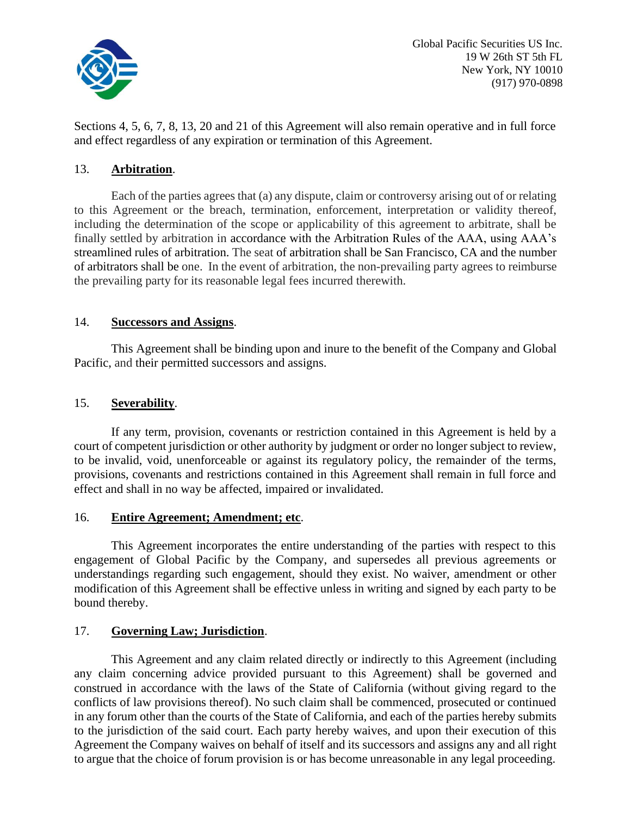

Sections 4, 5, 6, 7, 8, 13, 20 and 21 of this Agreement will also remain operative and in full force and effect regardless of any expiration or termination of this Agreement.

### 13. **Arbitration**.

Each of the parties agrees that (a) any dispute, claim or controversy arising out of or relating to this Agreement or the breach, termination, enforcement, interpretation or validity thereof, including the determination of the scope or applicability of this agreement to arbitrate, shall be finally settled by arbitration in accordance with the Arbitration Rules of the AAA, using AAA's streamlined rules of arbitration. The seat of arbitration shall be San Francisco, CA and the number of arbitrators shall be one. In the event of arbitration, the non-prevailing party agrees to reimburse the prevailing party for its reasonable legal fees incurred therewith.

### 14. **Successors and Assigns**.

This Agreement shall be binding upon and inure to the benefit of the Company and Global Pacific, and their permitted successors and assigns.

### 15. **Severability**.

If any term, provision, covenants or restriction contained in this Agreement is held by a court of competent jurisdiction or other authority by judgment or order no longer subject to review, to be invalid, void, unenforceable or against its regulatory policy, the remainder of the terms, provisions, covenants and restrictions contained in this Agreement shall remain in full force and effect and shall in no way be affected, impaired or invalidated.

### 16. **Entire Agreement; Amendment; etc**.

This Agreement incorporates the entire understanding of the parties with respect to this engagement of Global Pacific by the Company, and supersedes all previous agreements or understandings regarding such engagement, should they exist. No waiver, amendment or other modification of this Agreement shall be effective unless in writing and signed by each party to be bound thereby.

### 17. **Governing Law; Jurisdiction**.

This Agreement and any claim related directly or indirectly to this Agreement (including any claim concerning advice provided pursuant to this Agreement) shall be governed and construed in accordance with the laws of the State of California (without giving regard to the conflicts of law provisions thereof). No such claim shall be commenced, prosecuted or continued in any forum other than the courts of the State of California, and each of the parties hereby submits to the jurisdiction of the said court. Each party hereby waives, and upon their execution of this Agreement the Company waives on behalf of itself and its successors and assigns any and all right to argue that the choice of forum provision is or has become unreasonable in any legal proceeding.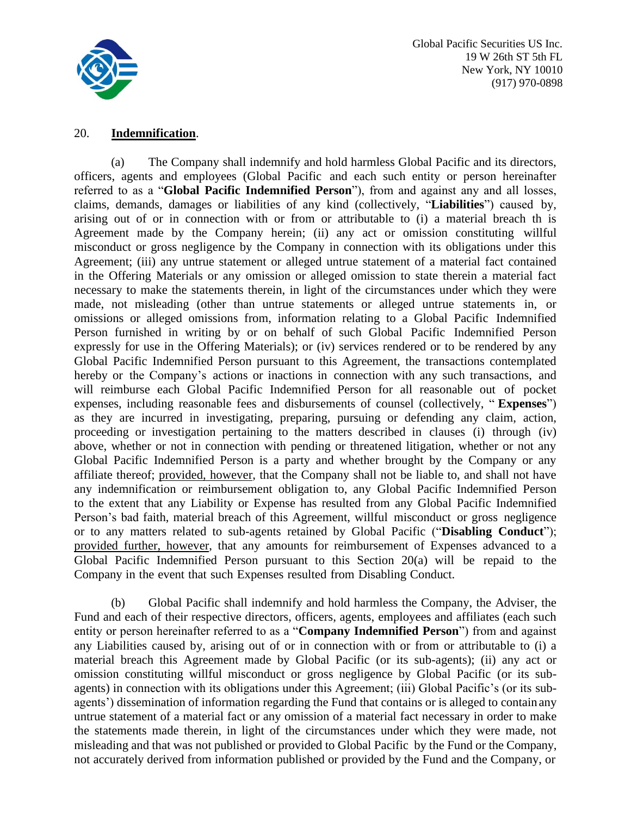

### 20. **Indemnification**.

(a) The Company shall indemnify and hold harmless Global Pacific and its directors, officers, agents and employees (Global Pacific and each such entity or person hereinafter referred to as a "**Global Pacific Indemnified Person**"), from and against any and all losses, claims, demands, damages or liabilities of any kind (collectively, "**Liabilities**") caused by, arising out of or in connection with or from or attributable to (i) a material breach th is Agreement made by the Company herein; (ii) any act or omission constituting willful misconduct or gross negligence by the Company in connection with its obligations under this Agreement; (iii) any untrue statement or alleged untrue statement of a material fact contained in the Offering Materials or any omission or alleged omission to state therein a material fact necessary to make the statements therein, in light of the circumstances under which they were made, not misleading (other than untrue statements or alleged untrue statements in, or omissions or alleged omissions from, information relating to a Global Pacific Indemnified Person furnished in writing by or on behalf of such Global Pacific Indemnified Person expressly for use in the Offering Materials); or (iv) services rendered or to be rendered by any Global Pacific Indemnified Person pursuant to this Agreement, the transactions contemplated hereby or the Company's actions or inactions in connection with any such transactions, and will reimburse each Global Pacific Indemnified Person for all reasonable out of pocket expenses, including reasonable fees and disbursements of counsel (collectively, " **Expenses**") as they are incurred in investigating, preparing, pursuing or defending any claim, action, proceeding or investigation pertaining to the matters described in clauses (i) through (iv) above, whether or not in connection with pending or threatened litigation, whether or not any Global Pacific Indemnified Person is a party and whether brought by the Company or any affiliate thereof; provided, however, that the Company shall not be liable to, and shall not have any indemnification or reimbursement obligation to, any Global Pacific Indemnified Person to the extent that any Liability or Expense has resulted from any Global Pacific Indemnified Person's bad faith, material breach of this Agreement, willful misconduct or gross negligence or to any matters related to sub-agents retained by Global Pacific ("**Disabling Conduct**"); provided further, however, that any amounts for reimbursement of Expenses advanced to a Global Pacific Indemnified Person pursuant to this Section 20(a) will be repaid to the Company in the event that such Expenses resulted from Disabling Conduct.

(b) Global Pacific shall indemnify and hold harmless the Company, the Adviser, the Fund and each of their respective directors, officers, agents, employees and affiliates (each such entity or person hereinafter referred to as a "**Company Indemnified Person**") from and against any Liabilities caused by, arising out of or in connection with or from or attributable to (i) a material breach this Agreement made by Global Pacific (or its sub-agents); (ii) any act or omission constituting willful misconduct or gross negligence by Global Pacific (or its subagents) in connection with its obligations under this Agreement; (iii) Global Pacific's (or its subagents') dissemination of information regarding the Fund that contains or is alleged to contain any untrue statement of a material fact or any omission of a material fact necessary in order to make the statements made therein, in light of the circumstances under which they were made, not misleading and that was not published or provided to Global Pacific by the Fund or the Company, not accurately derived from information published or provided by the Fund and the Company, or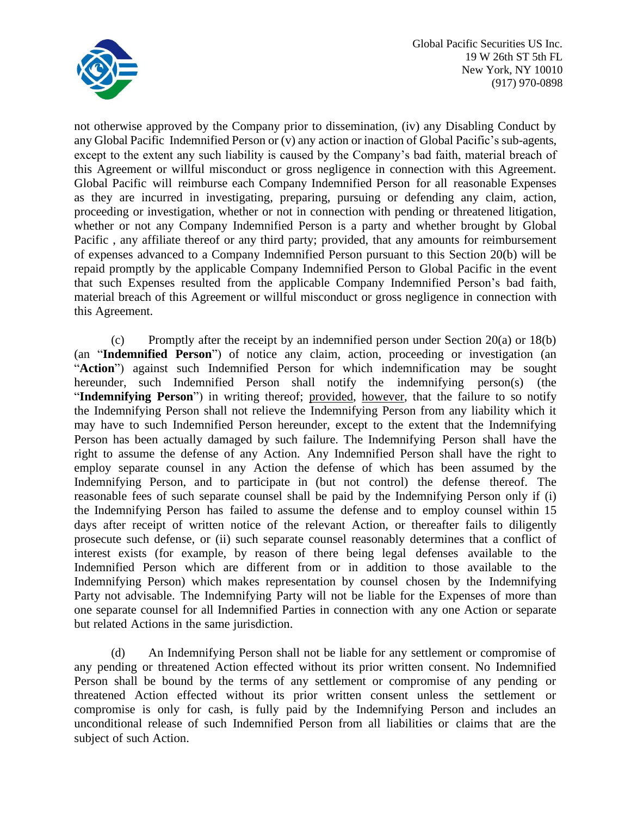

not otherwise approved by the Company prior to dissemination, (iv) any Disabling Conduct by any Global Pacific Indemnified Person or (v) any action or inaction of Global Pacific's sub-agents, except to the extent any such liability is caused by the Company's bad faith, material breach of this Agreement or willful misconduct or gross negligence in connection with this Agreement. Global Pacific will reimburse each Company Indemnified Person for all reasonable Expenses as they are incurred in investigating, preparing, pursuing or defending any claim, action, proceeding or investigation, whether or not in connection with pending or threatened litigation, whether or not any Company Indemnified Person is a party and whether brought by Global Pacific , any affiliate thereof or any third party; provided, that any amounts for reimbursement of expenses advanced to a Company Indemnified Person pursuant to this Section 20(b) will be repaid promptly by the applicable Company Indemnified Person to Global Pacific in the event that such Expenses resulted from the applicable Company Indemnified Person's bad faith, material breach of this Agreement or willful misconduct or gross negligence in connection with this Agreement.

(c) Promptly after the receipt by an indemnified person under Section 20(a) or 18(b) (an "**Indemnified Person**") of notice any claim, action, proceeding or investigation (an "**Action**") against such Indemnified Person for which indemnification may be sought hereunder, such Indemnified Person shall notify the indemnifying person(s) (the "**Indemnifying Person**") in writing thereof; provided, however, that the failure to so notify the Indemnifying Person shall not relieve the Indemnifying Person from any liability which it may have to such Indemnified Person hereunder, except to the extent that the Indemnifying Person has been actually damaged by such failure. The Indemnifying Person shall have the right to assume the defense of any Action. Any Indemnified Person shall have the right to employ separate counsel in any Action the defense of which has been assumed by the Indemnifying Person, and to participate in (but not control) the defense thereof. The reasonable fees of such separate counsel shall be paid by the Indemnifying Person only if (i) the Indemnifying Person has failed to assume the defense and to employ counsel within 15 days after receipt of written notice of the relevant Action, or thereafter fails to diligently prosecute such defense, or (ii) such separate counsel reasonably determines that a conflict of interest exists (for example, by reason of there being legal defenses available to the Indemnified Person which are different from or in addition to those available to the Indemnifying Person) which makes representation by counsel chosen by the Indemnifying Party not advisable. The Indemnifying Party will not be liable for the Expenses of more than one separate counsel for all Indemnified Parties in connection with any one Action or separate but related Actions in the same jurisdiction.

(d) An Indemnifying Person shall not be liable for any settlement or compromise of any pending or threatened Action effected without its prior written consent. No Indemnified Person shall be bound by the terms of any settlement or compromise of any pending or threatened Action effected without its prior written consent unless the settlement or compromise is only for cash, is fully paid by the Indemnifying Person and includes an unconditional release of such Indemnified Person from all liabilities or claims that are the subject of such Action.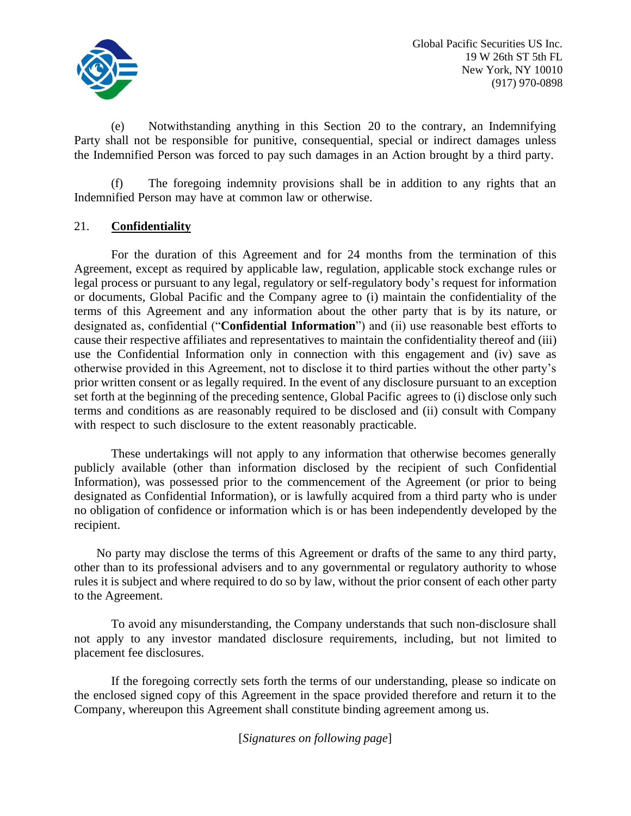

(e) Notwithstanding anything in this Section 20 to the contrary, an Indemnifying Party shall not be responsible for punitive, consequential, special or indirect damages unless the Indemnified Person was forced to pay such damages in an Action brought by a third party.

(f) The foregoing indemnity provisions shall be in addition to any rights that an Indemnified Person may have at common law or otherwise.

# 21. **Confidentiality**

For the duration of this Agreement and for 24 months from the termination of this Agreement, except as required by applicable law, regulation, applicable stock exchange rules or legal process or pursuant to any legal, regulatory or self-regulatory body's request for information or documents, Global Pacific and the Company agree to (i) maintain the confidentiality of the terms of this Agreement and any information about the other party that is by its nature, or designated as, confidential ("**Confidential Information**") and (ii) use reasonable best efforts to cause their respective affiliates and representatives to maintain the confidentiality thereof and (iii) use the Confidential Information only in connection with this engagement and (iv) save as otherwise provided in this Agreement, not to disclose it to third parties without the other party's prior written consent or as legally required. In the event of any disclosure pursuant to an exception set forth at the beginning of the preceding sentence, Global Pacific agrees to (i) disclose only such terms and conditions as are reasonably required to be disclosed and (ii) consult with Company with respect to such disclosure to the extent reasonably practicable.

These undertakings will not apply to any information that otherwise becomes generally publicly available (other than information disclosed by the recipient of such Confidential Information), was possessed prior to the commencement of the Agreement (or prior to being designated as Confidential Information), or is lawfully acquired from a third party who is under no obligation of confidence or information which is or has been independently developed by the recipient.

No party may disclose the terms of this Agreement or drafts of the same to any third party, other than to its professional advisers and to any governmental or regulatory authority to whose rules it is subject and where required to do so by law, without the prior consent of each other party to the Agreement.

To avoid any misunderstanding, the Company understands that such non-disclosure shall not apply to any investor mandated disclosure requirements, including, but not limited to placement fee disclosures.

If the foregoing correctly sets forth the terms of our understanding, please so indicate on the enclosed signed copy of this Agreement in the space provided therefore and return it to the Company, whereupon this Agreement shall constitute binding agreement among us.

[*Signatures on following page*]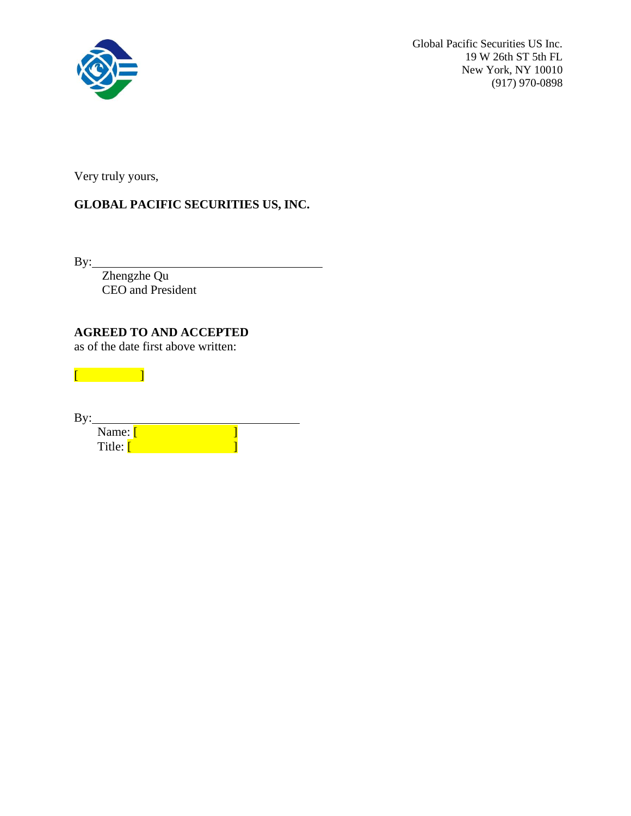

Very truly yours,

# **GLOBAL PACIFIC SECURITIES US, INC.**

By:

Zhengzhe Qu CEO and President

**AGREED TO AND ACCEPTED**

as of the date first above written:

| By: |                     |  |
|-----|---------------------|--|
|     |                     |  |
|     | Name: [<br>Title: [ |  |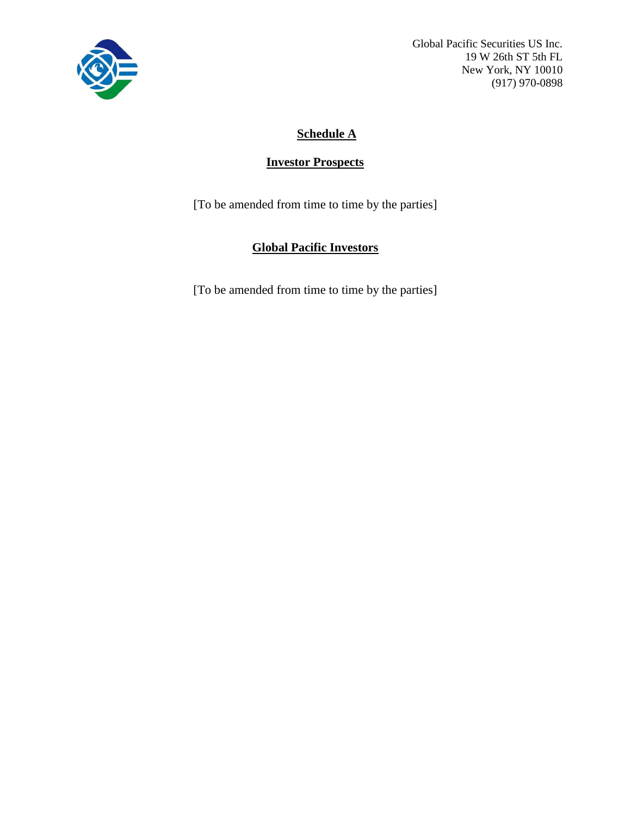

# **Schedule A**

# **Investor Prospects**

[To be amended from time to time by the parties]

# **Global Pacific Investors**

[To be amended from time to time by the parties]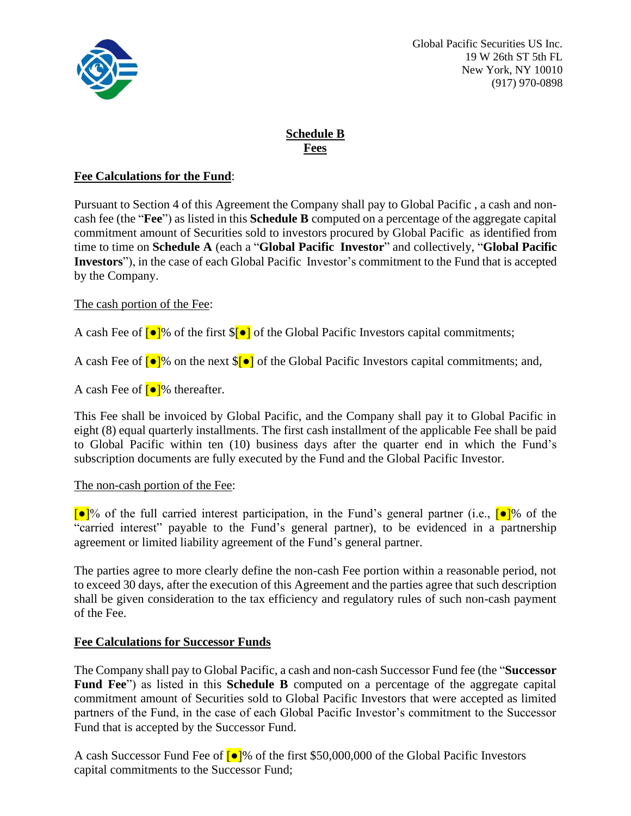

### **Schedule B Fees**

### **Fee Calculations for the Fund**:

Pursuant to Section 4 of this Agreement the Company shall pay to Global Pacific , a cash and noncash fee (the "**Fee**") as listed in this **Schedule B** computed on a percentage of the aggregate capital commitment amount of Securities sold to investors procured by Global Pacific as identified from time to time on **Schedule A** (each a "**Global Pacific Investor**" and collectively, "**Global Pacific Investors**"), in the case of each Global Pacific Investor's commitment to the Fund that is accepted by the Company.

### The cash portion of the Fee:

A cash Fee of  $\lceil \bullet \rceil$ % of the first  $\lceil \bullet \rceil$  of the Global Pacific Investors capital commitments;

A cash Fee of  $\lceil \bullet \rceil$ % on the next  $\lceil \bullet \rceil$  of the Global Pacific Investors capital commitments; and,

A cash Fee of  $\lceil \bullet \rceil$ % thereafter.

This Fee shall be invoiced by Global Pacific, and the Company shall pay it to Global Pacific in eight (8) equal quarterly installments. The first cash installment of the applicable Fee shall be paid to Global Pacific within ten (10) business days after the quarter end in which the Fund's subscription documents are fully executed by the Fund and the Global Pacific Investor.

### The non-cash portion of the Fee:

 $\lceil \bullet \rceil$ % of the full carried interest participation, in the Fund's general partner (i.e.,  $\lceil \bullet \rceil$ % of the "carried interest" payable to the Fund's general partner), to be evidenced in a partnership agreement or limited liability agreement of the Fund's general partner.

The parties agree to more clearly define the non-cash Fee portion within a reasonable period, not to exceed 30 days, after the execution of this Agreement and the parties agree that such description shall be given consideration to the tax efficiency and regulatory rules of such non-cash payment of the Fee.

# **Fee Calculations for Successor Funds**

The Company shall pay to Global Pacific, a cash and non-cash Successor Fund fee (the "**Successor Fund Fee**") as listed in this **Schedule B** computed on a percentage of the aggregate capital commitment amount of Securities sold to Global Pacific Investors that were accepted as limited partners of the Fund, in the case of each Global Pacific Investor's commitment to the Successor Fund that is accepted by the Successor Fund.

A cash Successor Fund Fee of  $\lceil \bullet \rceil$ % of the first \$50,000,000 of the Global Pacific Investors capital commitments to the Successor Fund;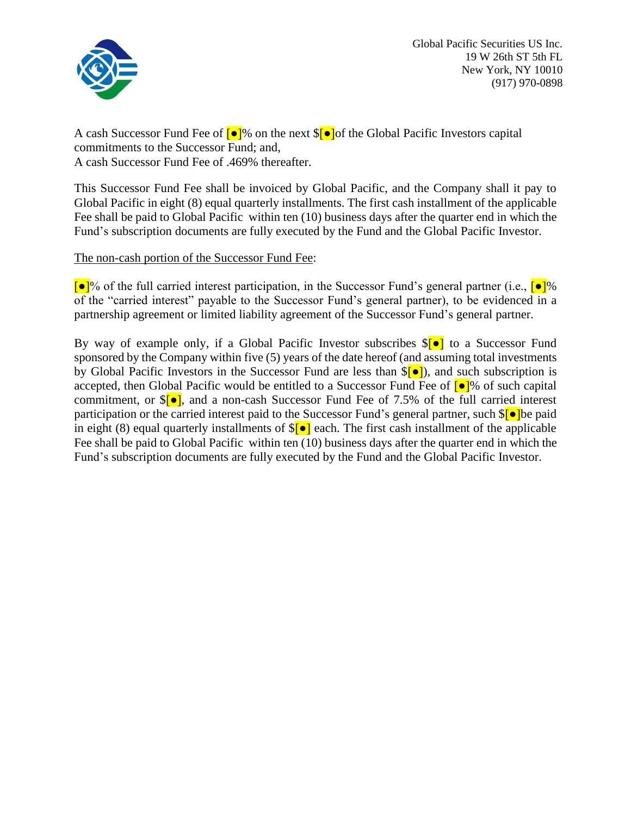

A cash Successor Fund Fee of  $\lceil \bullet \rceil$ % on the next  $\lceil \bullet \rceil$  of the Global Pacific Investors capital commitments to the Successor Fund; and, A cash Successor Fund Fee of .469% thereafter.

This Successor Fund Fee shall be invoiced by Global Pacific, and the Company shall it pay to Global Pacific in eight (8) equal quarterly installments. The first cash installment of the applicable Fee shall be paid to Global Pacific within ten (10) business days after the quarter end in which the Fund's subscription documents are fully executed by the Fund and the Global Pacific Investor.

The non-cash portion of the Successor Fund Fee:

 $\lceil \bullet \rceil$ % of the full carried interest participation, in the Successor Fund's general partner (i.e.,  $\lceil \bullet \rceil$ % of the "carried interest" payable to the Successor Fund's general partner), to be evidenced in a partnership agreement or limited liability agreement of the Successor Fund's general partner.

By way of example only, if a Global Pacific Investor subscribes  $\{\bullet\}$  to a Successor Fund sponsored by the Company within five (5) years of the date hereof (and assuming total investments by Global Pacific Investors in the Successor Fund are less than  $\{\bullet\}$ ), and such subscription is accepted, then Global Pacific would be entitled to a Successor Fund Fee of  $\lceil \bullet \rceil$ % of such capital commitment, or  $\sqrt{\theta}$ , and a non-cash Successor Fund Fee of 7.5% of the full carried interest participation or the carried interest paid to the Successor Fund's general partner, such \$[●]be paid in eight (8) equal quarterly installments of  $\sqrt{\theta}$  each. The first cash installment of the applicable Fee shall be paid to Global Pacific within ten (10) business days after the quarter end in which the Fund's subscription documents are fully executed by the Fund and the Global Pacific Investor.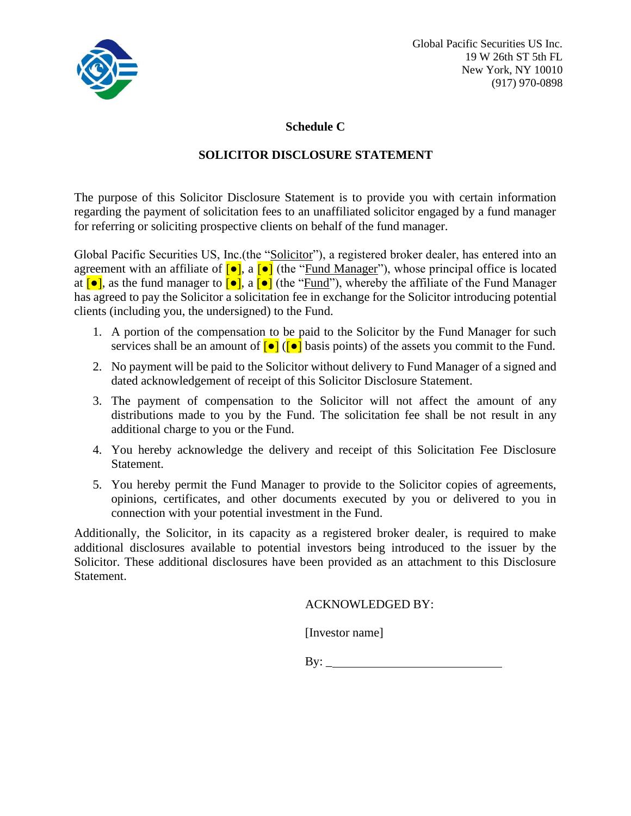

### **Schedule C**

# **SOLICITOR DISCLOSURE STATEMENT**

The purpose of this Solicitor Disclosure Statement is to provide you with certain information regarding the payment of solicitation fees to an unaffiliated solicitor engaged by a fund manager for referring or soliciting prospective clients on behalf of the fund manager.

Global Pacific Securities US, Inc.(the "Solicitor"), a registered broker dealer, has entered into an agreement with an affiliate of  $\lceil \bullet \rceil$ , a  $\lceil \bullet \rceil$  (the "Fund Manager"), whose principal office is located at  $\lceil \bullet \rceil$ , as the fund manager to  $\lceil \bullet \rceil$ , a  $\lceil \bullet \rceil$  (the "Fund"), whereby the affiliate of the Fund Manager has agreed to pay the Solicitor a solicitation fee in exchange for the Solicitor introducing potential clients (including you, the undersigned) to the Fund.

- 1. A portion of the compensation to be paid to the Solicitor by the Fund Manager for such services shall be an amount of  $\lceil \bullet \rceil$  ( $\lceil \bullet \rceil$  basis points) of the assets you commit to the Fund.
- 2. No payment will be paid to the Solicitor without delivery to Fund Manager of a signed and dated acknowledgement of receipt of this Solicitor Disclosure Statement.
- 3. The payment of compensation to the Solicitor will not affect the amount of any distributions made to you by the Fund. The solicitation fee shall be not result in any additional charge to you or the Fund.
- 4. You hereby acknowledge the delivery and receipt of this Solicitation Fee Disclosure Statement.
- 5. You hereby permit the Fund Manager to provide to the Solicitor copies of agreements, opinions, certificates, and other documents executed by you or delivered to you in connection with your potential investment in the Fund.

Additionally, the Solicitor, in its capacity as a registered broker dealer, is required to make additional disclosures available to potential investors being introduced to the issuer by the Solicitor. These additional disclosures have been provided as an attachment to this Disclosure Statement.

ACKNOWLEDGED BY:

[Investor name]

By:  $\qquad \qquad$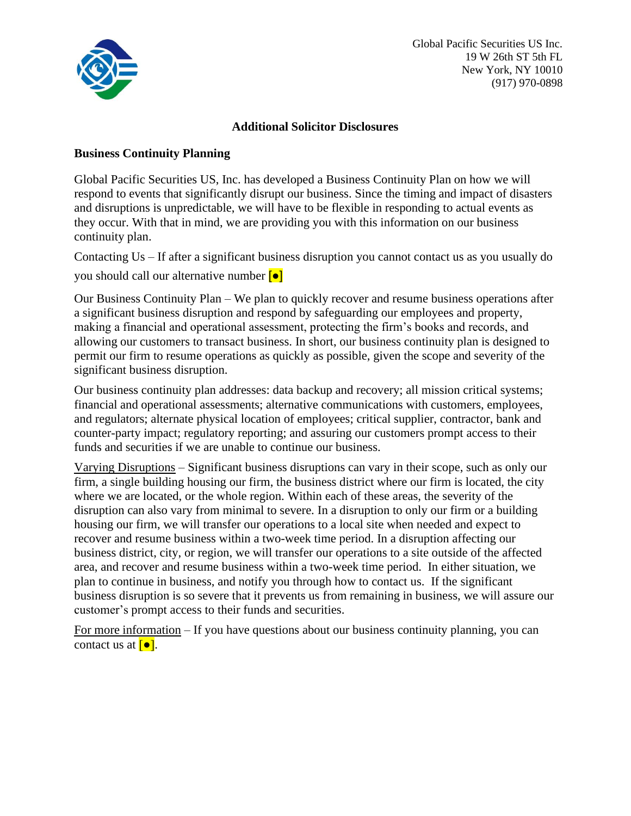

### **Additional Solicitor Disclosures**

### **Business Continuity Planning**

Global Pacific Securities US, Inc. has developed a Business Continuity Plan on how we will respond to events that significantly disrupt our business. Since the timing and impact of disasters and disruptions is unpredictable, we will have to be flexible in responding to actual events as they occur. With that in mind, we are providing you with this information on our business continuity plan.

Contacting Us – If after a significant business disruption you cannot contact us as you usually do you should call our alternative number [●]

Our Business Continuity Plan – We plan to quickly recover and resume business operations after a significant business disruption and respond by safeguarding our employees and property, making a financial and operational assessment, protecting the firm's books and records, and allowing our customers to transact business. In short, our business continuity plan is designed to permit our firm to resume operations as quickly as possible, given the scope and severity of the significant business disruption.

Our business continuity plan addresses: data backup and recovery; all mission critical systems; financial and operational assessments; alternative communications with customers, employees, and regulators; alternate physical location of employees; critical supplier, contractor, bank and counter-party impact; regulatory reporting; and assuring our customers prompt access to their funds and securities if we are unable to continue our business.

Varying Disruptions – Significant business disruptions can vary in their scope, such as only our firm, a single building housing our firm, the business district where our firm is located, the city where we are located, or the whole region. Within each of these areas, the severity of the disruption can also vary from minimal to severe. In a disruption to only our firm or a building housing our firm, we will transfer our operations to a local site when needed and expect to recover and resume business within a two-week time period. In a disruption affecting our business district, city, or region, we will transfer our operations to a site outside of the affected area, and recover and resume business within a two-week time period. In either situation, we plan to continue in business, and notify you through how to contact us. If the significant business disruption is so severe that it prevents us from remaining in business, we will assure our customer's prompt access to their funds and securities.

For more information – If you have questions about our business continuity planning, you can contact us at  $\lceil \bullet \rceil$ .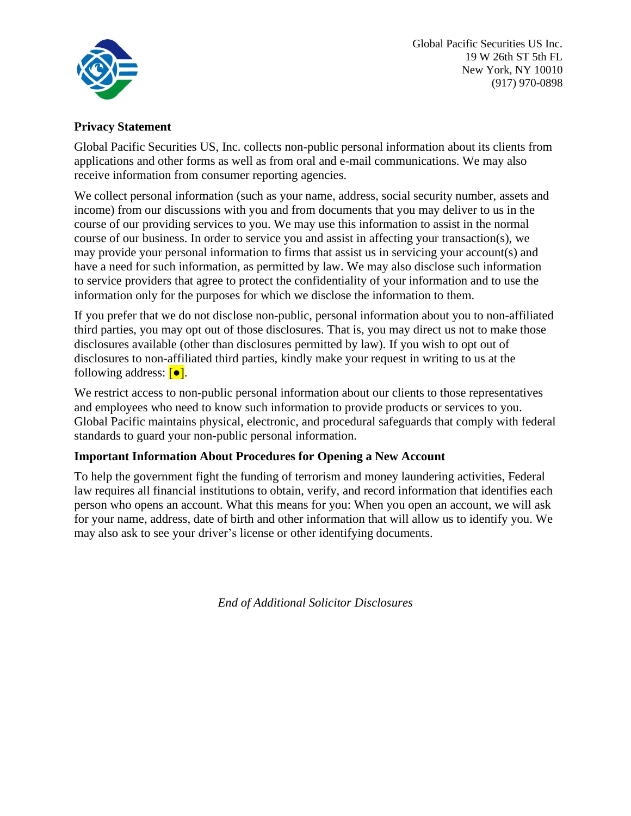

### **Privacy Statement**

Global Pacific Securities US, Inc. collects non-public personal information about its clients from applications and other forms as well as from oral and e-mail communications. We may also receive information from consumer reporting agencies.

We collect personal information (such as your name, address, social security number, assets and income) from our discussions with you and from documents that you may deliver to us in the course of our providing services to you. We may use this information to assist in the normal course of our business. In order to service you and assist in affecting your transaction(s), we may provide your personal information to firms that assist us in servicing your account(s) and have a need for such information, as permitted by law. We may also disclose such information to service providers that agree to protect the confidentiality of your information and to use the information only for the purposes for which we disclose the information to them.

If you prefer that we do not disclose non-public, personal information about you to non-affiliated third parties, you may opt out of those disclosures. That is, you may direct us not to make those disclosures available (other than disclosures permitted by law). If you wish to opt out of disclosures to non-affiliated third parties, kindly make your request in writing to us at the following address:  $\boxed{\bullet}$ .

We restrict access to non-public personal information about our clients to those representatives and employees who need to know such information to provide products or services to you. Global Pacific maintains physical, electronic, and procedural safeguards that comply with federal standards to guard your non-public personal information.

# **Important Information About Procedures for Opening a New Account**

To help the government fight the funding of terrorism and money laundering activities, Federal law requires all financial institutions to obtain, verify, and record information that identifies each person who opens an account. What this means for you: When you open an account, we will ask for your name, address, date of birth and other information that will allow us to identify you. We may also ask to see your driver's license or other identifying documents.

*End of Additional Solicitor Disclosures*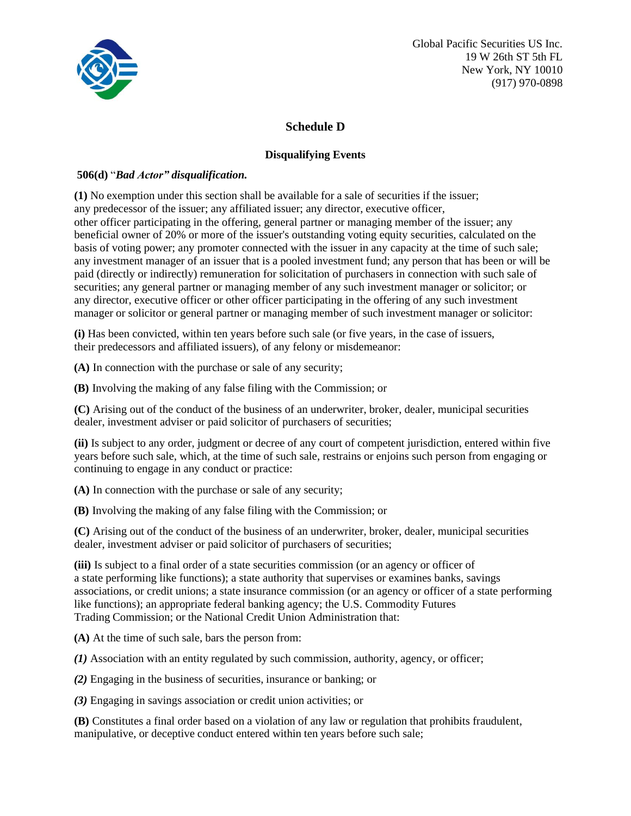

# **Schedule D**

### **Disqualifying Events**

#### **506(d)** "*Bad Actor" disqualification.*

**(1)** No exemption under this section shall be available for a sale of securities if the [issuer;](https://www.law.cornell.edu/definitions/index.php?width=840&height=800&iframe=true&def_id=4564dd69d3d9c2ae3243454aff072702&term_occur=14&term_src=Title%3A17%3AChapter%3AII%3APart%3A230%3ASubjgrp%3AD%3A230.506) any [predecessor o](https://www.law.cornell.edu/definitions/index.php?width=840&height=800&iframe=true&def_id=57142a5afce6d36aa694a1b8226d4ab0&term_occur=1&term_src=Title%3A17%3AChapter%3AII%3APart%3A230%3ASubjgrp%3AD%3A230.506)f the [issuer;](https://www.law.cornell.edu/definitions/index.php?width=840&height=800&iframe=true&def_id=4564dd69d3d9c2ae3243454aff072702&term_occur=15&term_src=Title%3A17%3AChapter%3AII%3APart%3A230%3ASubjgrp%3AD%3A230.506) any [affiliated](https://www.law.cornell.edu/definitions/index.php?width=840&height=800&iframe=true&def_id=152b62f9d54a0d102624a66ef4361e77&term_occur=1&term_src=Title%3A17%3AChapter%3AII%3APart%3A230%3ASubjgrp%3AD%3A230.506) issuer; any [director,](https://www.law.cornell.edu/definitions/index.php?width=840&height=800&iframe=true&def_id=839a969a537e67e83f39146e3537ec5e&term_occur=1&term_src=Title%3A17%3AChapter%3AII%3APart%3A230%3ASubjgrp%3AD%3A230.506) [executive officer,](https://www.law.cornell.edu/definitions/index.php?width=840&height=800&iframe=true&def_id=df1f4f013c888625091e8a684170e23e&term_occur=2&term_src=Title%3A17%3AChapter%3AII%3APart%3A230%3ASubjgrp%3AD%3A230.506) other [officer p](https://www.law.cornell.edu/definitions/index.php?width=840&height=800&iframe=true&def_id=a08fb64f86de3f52d3b883f980c3a2af&term_occur=1&term_src=Title%3A17%3AChapter%3AII%3APart%3A230%3ASubjgrp%3AD%3A230.506)articipating in the offering, general partner or managing member of the [issuer;](https://www.law.cornell.edu/definitions/index.php?width=840&height=800&iframe=true&def_id=4564dd69d3d9c2ae3243454aff072702&term_occur=18&term_src=Title%3A17%3AChapter%3AII%3APart%3A230%3ASubjgrp%3AD%3A230.506) any beneficial owner of 20% or more of the [issuer's](https://www.law.cornell.edu/definitions/index.php?width=840&height=800&iframe=true&def_id=4564dd69d3d9c2ae3243454aff072702&term_occur=19&term_src=Title%3A17%3AChapter%3AII%3APart%3A230%3ASubjgrp%3AD%3A230.506) outstanding voting equity securities, calculated on the basis of voting power; any [promoter c](https://www.law.cornell.edu/definitions/index.php?width=840&height=800&iframe=true&def_id=9b8ac5f56cc9e7d401021f927ac24c21&term_occur=1&term_src=Title%3A17%3AChapter%3AII%3APart%3A230%3ASubjgrp%3AD%3A230.506)onnected with the [issuer i](https://www.law.cornell.edu/definitions/index.php?width=840&height=800&iframe=true&def_id=4564dd69d3d9c2ae3243454aff072702&term_occur=16&term_src=Title%3A17%3AChapter%3AII%3APart%3A230%3ASubjgrp%3AD%3A230.506)n any capacity at the time of such sale; any investment manager of an [issuer t](https://www.law.cornell.edu/definitions/index.php?width=840&height=800&iframe=true&def_id=4564dd69d3d9c2ae3243454aff072702&term_occur=17&term_src=Title%3A17%3AChapter%3AII%3APart%3A230%3ASubjgrp%3AD%3A230.506)hat is a pooled investment fund; any person that has been or will be paid (directly or indirectly) remuneration for [solicitation o](https://www.law.cornell.edu/definitions/index.php?width=840&height=800&iframe=true&def_id=1d221299ad33e5abf210fbd071a023a5&term_occur=1&term_src=Title%3A17%3AChapter%3AII%3APart%3A230%3ASubjgrp%3AD%3A230.506)f purchasers in connection with such sale of securities; any general partner or managing member of any such investment manager or solicitor; or any [director,](https://www.law.cornell.edu/definitions/index.php?width=840&height=800&iframe=true&def_id=839a969a537e67e83f39146e3537ec5e&term_occur=2&term_src=Title%3A17%3AChapter%3AII%3APart%3A230%3ASubjgrp%3AD%3A230.506) [executive officer o](https://www.law.cornell.edu/definitions/index.php?width=840&height=800&iframe=true&def_id=df1f4f013c888625091e8a684170e23e&term_occur=1&term_src=Title%3A17%3AChapter%3AII%3APart%3A230%3ASubjgrp%3AD%3A230.506)r other [officer p](https://www.law.cornell.edu/definitions/index.php?width=840&height=800&iframe=true&def_id=a08fb64f86de3f52d3b883f980c3a2af&term_occur=2&term_src=Title%3A17%3AChapter%3AII%3APart%3A230%3ASubjgrp%3AD%3A230.506)articipating in the offering of any such investment manager or solicitor or general partner or managing member of such investment manager or solicitor:

**(i)** Has been convicted, within ten years before such sale (or five years, in the case of issuers, their [predecessors](https://www.law.cornell.edu/definitions/index.php?width=840&height=800&iframe=true&def_id=57142a5afce6d36aa694a1b8226d4ab0&term_occur=2&term_src=Title%3A17%3AChapter%3AII%3APart%3A230%3ASubjgrp%3AD%3A230.506) and [affiliated](https://www.law.cornell.edu/definitions/index.php?width=840&height=800&iframe=true&def_id=e78e8fda5d9bc78ce2bb85600b83350c&term_occur=1&term_src=Title%3A17%3AChapter%3AII%3APart%3A230%3ASubjgrp%3AD%3A230.506) issuers), of any felony or misdemeanor:

**(A)** In connection with the purchase or sale of any [security;](https://www.law.cornell.edu/definitions/index.php?width=840&height=800&iframe=true&def_id=753c58926bc35fd5630e74cd0afac26d&term_occur=1&term_src=Title%3A17%3AChapter%3AII%3APart%3A230%3ASubjgrp%3AD%3A230.506)

**(B)** Involving the making of any false filing with the [Commission;](https://www.law.cornell.edu/definitions/index.php?width=840&height=800&iframe=true&def_id=6709630a039f59fd02e31414026dca75&term_occur=2&term_src=Title%3A17%3AChapter%3AII%3APart%3A230%3ASubjgrp%3AD%3A230.506) or

**(C)** Arising out of the conduct of the business of an [underwriter,](https://www.law.cornell.edu/definitions/index.php?width=840&height=800&iframe=true&def_id=05206345916c580b462dc076b8808b2f&term_occur=1&term_src=Title%3A17%3AChapter%3AII%3APart%3A230%3ASubjgrp%3AD%3A230.506) broker, dealer, municipal securities dealer, investment adviser or paid solicitor of purchasers of securities;

**(ii)** Is subject to any order, judgment or decree of any court of competent jurisdiction, entered within five years before such sale, which, at the time of such sale, restrains or enjoins such person from engaging or continuing to engage in any conduct or practice:

**(A)** In connection with the purchase or sale of any [security;](https://www.law.cornell.edu/definitions/index.php?width=840&height=800&iframe=true&def_id=753c58926bc35fd5630e74cd0afac26d&term_occur=2&term_src=Title%3A17%3AChapter%3AII%3APart%3A230%3ASubjgrp%3AD%3A230.506)

**(B)** Involving the making of any false filing with the [Commission;](https://www.law.cornell.edu/definitions/index.php?width=840&height=800&iframe=true&def_id=6709630a039f59fd02e31414026dca75&term_occur=3&term_src=Title%3A17%3AChapter%3AII%3APart%3A230%3ASubjgrp%3AD%3A230.506) or

**(C)** Arising out of the conduct of the business of an [underwriter,](https://www.law.cornell.edu/definitions/index.php?width=840&height=800&iframe=true&def_id=05206345916c580b462dc076b8808b2f&term_occur=2&term_src=Title%3A17%3AChapter%3AII%3APart%3A230%3ASubjgrp%3AD%3A230.506) broker, dealer, municipal securities dealer, investment adviser or paid solicitor of purchasers of securities;

**(iii)** Is subject to a [final order](https://www.law.cornell.edu/definitions/index.php?width=840&height=800&iframe=true&def_id=63d1fa265864b536c915d25d2f66b7b9&term_occur=1&term_src=Title%3A17%3AChapter%3AII%3APart%3A230%3ASubjgrp%3AD%3A230.506) of a [state](https://www.law.cornell.edu/definitions/index.php?width=840&height=800&iframe=true&def_id=3dc97a6f9bf11f8e9f7582ef91102e8e&term_occur=1&term_src=Title%3A17%3AChapter%3AII%3APart%3A230%3ASubjgrp%3AD%3A230.506) securities [commission](https://www.law.cornell.edu/definitions/index.php?width=840&height=800&iframe=true&def_id=6709630a039f59fd02e31414026dca75&term_occur=4&term_src=Title%3A17%3AChapter%3AII%3APart%3A230%3ASubjgrp%3AD%3A230.506) (or an agency o[r officer](https://www.law.cornell.edu/definitions/index.php?width=840&height=800&iframe=true&def_id=a08fb64f86de3f52d3b883f980c3a2af&term_occur=3&term_src=Title%3A17%3AChapter%3AII%3APart%3A230%3ASubjgrp%3AD%3A230.506) of a [state p](https://www.law.cornell.edu/definitions/index.php?width=840&height=800&iframe=true&def_id=3dc97a6f9bf11f8e9f7582ef91102e8e&term_occur=2&term_src=Title%3A17%3AChapter%3AII%3APart%3A230%3ASubjgrp%3AD%3A230.506)erforming like functions); a [state a](https://www.law.cornell.edu/definitions/index.php?width=840&height=800&iframe=true&def_id=3dc97a6f9bf11f8e9f7582ef91102e8e&term_occur=3&term_src=Title%3A17%3AChapter%3AII%3APart%3A230%3ASubjgrp%3AD%3A230.506)uthority that supervises or examines banks, savings associations, or credit unions; a [state i](https://www.law.cornell.edu/definitions/index.php?width=840&height=800&iframe=true&def_id=3dc97a6f9bf11f8e9f7582ef91102e8e&term_occur=4&term_src=Title%3A17%3AChapter%3AII%3APart%3A230%3ASubjgrp%3AD%3A230.506)nsurance [commission \(](https://www.law.cornell.edu/definitions/index.php?width=840&height=800&iframe=true&def_id=6709630a039f59fd02e31414026dca75&term_occur=5&term_src=Title%3A17%3AChapter%3AII%3APart%3A230%3ASubjgrp%3AD%3A230.506)or an agency or [officer o](https://www.law.cornell.edu/definitions/index.php?width=840&height=800&iframe=true&def_id=a08fb64f86de3f52d3b883f980c3a2af&term_occur=4&term_src=Title%3A17%3AChapter%3AII%3APart%3A230%3ASubjgrp%3AD%3A230.506)f a [state p](https://www.law.cornell.edu/definitions/index.php?width=840&height=800&iframe=true&def_id=3dc97a6f9bf11f8e9f7582ef91102e8e&term_occur=5&term_src=Title%3A17%3AChapter%3AII%3APart%3A230%3ASubjgrp%3AD%3A230.506)erforming like functions); an appropriate federal banking agency; the U.S. Commodity Futures Trading [Commission;](https://www.law.cornell.edu/definitions/index.php?width=840&height=800&iframe=true&def_id=6709630a039f59fd02e31414026dca75&term_occur=6&term_src=Title%3A17%3AChapter%3AII%3APart%3A230%3ASubjgrp%3AD%3A230.506) or the National Credit Union Administration that:

**(A)** At the time of such sale, bars the person from:

*(1)* [Association](https://www.law.cornell.edu/definitions/index.php?width=840&height=800&iframe=true&def_id=88de57837a8e1754c37d61861e0a9197&term_occur=1&term_src=Title%3A17%3AChapter%3AII%3APart%3A230%3ASubjgrp%3AD%3A230.506) with an entity regulated by such [commission,](https://www.law.cornell.edu/definitions/index.php?width=840&height=800&iframe=true&def_id=6709630a039f59fd02e31414026dca75&term_occur=7&term_src=Title%3A17%3AChapter%3AII%3APart%3A230%3ASubjgrp%3AD%3A230.506) authority, agency, or [officer;](https://www.law.cornell.edu/definitions/index.php?width=840&height=800&iframe=true&def_id=a08fb64f86de3f52d3b883f980c3a2af&term_occur=5&term_src=Title%3A17%3AChapter%3AII%3APart%3A230%3ASubjgrp%3AD%3A230.506)

*(2)* Engaging in the business of securities, insurance or banking; or

*(3)* Engaging in savings [association](https://www.law.cornell.edu/definitions/index.php?width=840&height=800&iframe=true&def_id=88de57837a8e1754c37d61861e0a9197&term_occur=2&term_src=Title%3A17%3AChapter%3AII%3APart%3A230%3ASubjgrp%3AD%3A230.506) or credit union activities; or

**(B)** Constitutes a [final order b](https://www.law.cornell.edu/definitions/index.php?width=840&height=800&iframe=true&def_id=63d1fa265864b536c915d25d2f66b7b9&term_occur=2&term_src=Title%3A17%3AChapter%3AII%3APart%3A230%3ASubjgrp%3AD%3A230.506)ased on a violation of any law or regulation that prohibits fraudulent, manipulative, or deceptive conduct entered within ten years before such sale;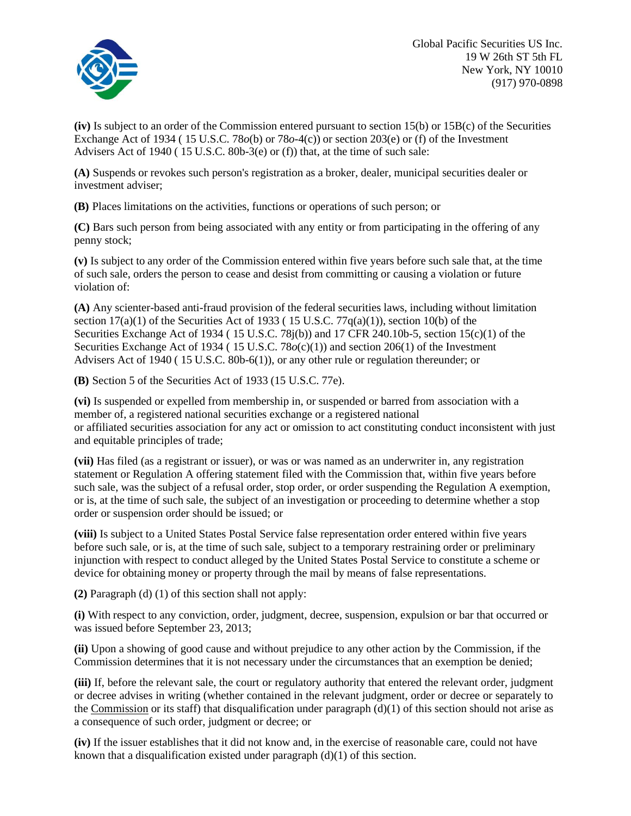

**(iv)** Is subject to an order of the [Commission](https://www.law.cornell.edu/definitions/index.php?width=840&height=800&iframe=true&def_id=6709630a039f59fd02e31414026dca75&term_occur=8&term_src=Title%3A17%3AChapter%3AII%3APart%3A230%3ASubjgrp%3AD%3A230.506) entered pursuant to section 15(b) or 15B(c) of the Securities [Exchange](https://www.law.cornell.edu/definitions/index.php?width=840&height=800&iframe=true&def_id=c81ea1fab8216c3d6016f08845037579&term_occur=1&term_src=Title%3A17%3AChapter%3AII%3APart%3A230%3ASubjgrp%3AD%3A230.506) Act of 1934 ( 15 [U.S.C. 78](https://www.law.cornell.edu/uscode/text/15/78)*o*(b) or 78*o*-4(c)) or section 203(e) or (f) of the Investment Advisers [Act o](https://www.law.cornell.edu/definitions/index.php?width=840&height=800&iframe=true&def_id=1ac285a80b7956dce748a629bf4129d2&term_occur=2&term_src=Title%3A17%3AChapter%3AII%3APart%3A230%3ASubjgrp%3AD%3A230.506)f 1940 ( 15 U.S.C. [80b-3\(e\) o](https://www.law.cornell.edu/uscode/text/15/80b-3#e)r (f)) that, at the time of such sale:

**(A)** Suspends or revokes such person's registration as a broker, dealer, municipal securities dealer or investment adviser;

**(B)** Places limitations on the activities, functions or operations of such person; or

**(C)** Bars such person from being [associated w](https://www.law.cornell.edu/definitions/index.php?width=840&height=800&iframe=true&def_id=beb24070e4a75994165bff757e217ef9&term_occur=1&term_src=Title%3A17%3AChapter%3AII%3APart%3A230%3ASubjgrp%3AD%3A230.506)ith any entity or from participating in the offering of any penny stock;

**(v)** Is subject to any order of the [Commission](https://www.law.cornell.edu/definitions/index.php?width=840&height=800&iframe=true&def_id=6709630a039f59fd02e31414026dca75&term_occur=9&term_src=Title%3A17%3AChapter%3AII%3APart%3A230%3ASubjgrp%3AD%3A230.506) entered within five years before such sale that, at the time of such sale, orders the person to cease and desist from committing or causing a violation or future violation of:

**(A)** Any scienter-based anti-fraud provision of the federal securities laws, including without limitation section  $17(a)(1)$  of the [Securities](https://www.law.cornell.edu/definitions/index.php?width=840&height=800&iframe=true&def_id=77d139d628ca303d0116738db91b2ad4&term_occur=1&term_src=Title%3A17%3AChapter%3AII%3APart%3A230%3ASubjgrp%3AD%3A230.506) Act of 1933 (15 U.S.C.  $77q(a)(1)$ ), section 10(b) of the Securities [Exchange Act o](https://www.law.cornell.edu/definitions/index.php?width=840&height=800&iframe=true&def_id=c81ea1fab8216c3d6016f08845037579&term_occur=2&term_src=Title%3A17%3AChapter%3AII%3APart%3A230%3ASubjgrp%3AD%3A230.506)f 1934 ( [15 U.S.C. 78j\(b\)\)](https://www.law.cornell.edu/uscode/text/15/78j#b) and [17 CFR 240.10b-5, s](https://www.law.cornell.edu/cfr/text/17/240.10b-5)ection 15(c)(1) of the Securities [Exchange Act o](https://www.law.cornell.edu/definitions/index.php?width=840&height=800&iframe=true&def_id=c81ea1fab8216c3d6016f08845037579&term_occur=3&term_src=Title%3A17%3AChapter%3AII%3APart%3A230%3ASubjgrp%3AD%3A230.506)f 1934 (15 U.S.C. 78 $o(c)(1)$ ) and section 206(1) of the Investment Advisers [Act o](https://www.law.cornell.edu/definitions/index.php?width=840&height=800&iframe=true&def_id=1ac285a80b7956dce748a629bf4129d2&term_occur=3&term_src=Title%3A17%3AChapter%3AII%3APart%3A230%3ASubjgrp%3AD%3A230.506)f 1940 ( 15 U.S.C. [80b-6\(1\)\)](https://www.law.cornell.edu/uscode/text/15/80b-6#1), or any other rule or regulation thereunder; or

**(B)** Section 5 of the [Securities](https://www.law.cornell.edu/definitions/index.php?width=840&height=800&iframe=true&def_id=77d139d628ca303d0116738db91b2ad4&term_occur=2&term_src=Title%3A17%3AChapter%3AII%3APart%3A230%3ASubjgrp%3AD%3A230.506) Act of 1933 (15 [U.S.C.](https://www.law.cornell.edu/uscode/text/15/77e) 77e).

**(vi)** Is suspended or expelled from membership in, or suspended or barred from [association w](https://www.law.cornell.edu/definitions/index.php?width=840&height=800&iframe=true&def_id=88de57837a8e1754c37d61861e0a9197&term_occur=3&term_src=Title%3A17%3AChapter%3AII%3APart%3A230%3ASubjgrp%3AD%3A230.506)ith a member of, a registered national securities exchange or a registered national or [affiliated s](https://www.law.cornell.edu/definitions/index.php?width=840&height=800&iframe=true&def_id=e78e8fda5d9bc78ce2bb85600b83350c&term_occur=2&term_src=Title%3A17%3AChapter%3AII%3APart%3A230%3ASubjgrp%3AD%3A230.506)ecurities [association f](https://www.law.cornell.edu/definitions/index.php?width=840&height=800&iframe=true&def_id=88de57837a8e1754c37d61861e0a9197&term_occur=4&term_src=Title%3A17%3AChapter%3AII%3APart%3A230%3ASubjgrp%3AD%3A230.506)or any [act o](https://www.law.cornell.edu/definitions/index.php?width=840&height=800&iframe=true&def_id=1ac285a80b7956dce748a629bf4129d2&term_occur=4&term_src=Title%3A17%3AChapter%3AII%3APart%3A230%3ASubjgrp%3AD%3A230.506)r omission to [act c](https://www.law.cornell.edu/definitions/index.php?width=840&height=800&iframe=true&def_id=1ac285a80b7956dce748a629bf4129d2&term_occur=5&term_src=Title%3A17%3AChapter%3AII%3APart%3A230%3ASubjgrp%3AD%3A230.506)onstituting conduct inconsistent with just and equitable principles of trade;

(vii) Has filed (as a [registrant o](https://www.law.cornell.edu/definitions/index.php?width=840&height=800&iframe=true&def_id=42e6b66aa48f9cb582d09d3cc1c3d31c&term_occur=1&term_src=Title%3A17%3AChapter%3AII%3APart%3A230%3ASubjgrp%3AD%3A230.506)r issuer), or was or was named as an [underwriter i](https://www.law.cornell.edu/definitions/index.php?width=840&height=800&iframe=true&def_id=05206345916c580b462dc076b8808b2f&term_occur=3&term_src=Title%3A17%3AChapter%3AII%3APart%3A230%3ASubjgrp%3AD%3A230.506)n, any registration statement or Regulation A [offering statement f](https://www.law.cornell.edu/definitions/index.php?width=840&height=800&iframe=true&def_id=5282a29c832a45a9bd0a091d3d3b8b7d&term_occur=1&term_src=Title%3A17%3AChapter%3AII%3APart%3A230%3ASubjgrp%3AD%3A230.506)iled with the [Commission t](https://www.law.cornell.edu/definitions/index.php?width=840&height=800&iframe=true&def_id=6709630a039f59fd02e31414026dca75&term_occur=10&term_src=Title%3A17%3AChapter%3AII%3APart%3A230%3ASubjgrp%3AD%3A230.506)hat, within five years before such sale, was the subject of a refusal order, stop order, or order suspending the Regulation A exemption, or is, at the time of such sale, the subject of an investigation or proceeding to determine whether a stop order or [suspension o](https://www.law.cornell.edu/definitions/index.php?width=840&height=800&iframe=true&def_id=0322d475eb8a747f2c235915f581021d&term_occur=1&term_src=Title%3A17%3AChapter%3AII%3APart%3A230%3ASubjgrp%3AD%3A230.506)rder should be issued; or

**(viii)** Is subject to a [United States P](https://www.law.cornell.edu/definitions/index.php?width=840&height=800&iframe=true&def_id=10d51dedef74f5c4e7b9c97235cb2836&term_occur=1&term_src=Title%3A17%3AChapter%3AII%3APart%3A230%3ASubjgrp%3AD%3A230.506)ostal Service false representation order entered within five years before such sale, or is, at the time of such sale, subject to a temporary restraining order or preliminary injunction with respect to conduct alleged by the [United](https://www.law.cornell.edu/definitions/index.php?width=840&height=800&iframe=true&def_id=10d51dedef74f5c4e7b9c97235cb2836&term_occur=2&term_src=Title%3A17%3AChapter%3AII%3APart%3A230%3ASubjgrp%3AD%3A230.506) States Postal Service to constitute a scheme or device for obtaining money or property through the mail by means of false representations.

**(2)** [Paragraph](https://www.law.cornell.edu/cfr/text/17/230.506#d_1) (d) (1) of this section shall not apply:

**(i)** With respect to any conviction, order, judgment, decree, [suspension,](https://www.law.cornell.edu/definitions/index.php?width=840&height=800&iframe=true&def_id=0322d475eb8a747f2c235915f581021d&term_occur=2&term_src=Title%3A17%3AChapter%3AII%3APart%3A230%3ASubjgrp%3AD%3A230.506) expulsion or bar that occurred or was issued before September 23, 2013;

**(ii)** Upon a showing of good cause and without prejudice to any other action by the [Commission,](https://www.law.cornell.edu/definitions/index.php?width=840&height=800&iframe=true&def_id=6709630a039f59fd02e31414026dca75&term_occur=12&term_src=Title%3A17%3AChapter%3AII%3APart%3A230%3ASubjgrp%3AD%3A230.506) if the [Commission](https://www.law.cornell.edu/definitions/index.php?width=840&height=800&iframe=true&def_id=6709630a039f59fd02e31414026dca75&term_occur=11&term_src=Title%3A17%3AChapter%3AII%3APart%3A230%3ASubjgrp%3AD%3A230.506) determines that it is not necessary under the circumstances that an exemption be denied;

**(iii)** If, before the relevant sale, the court or regulatory authority that entered the relevant order, judgment or decree advises in writing (whether contained in the relevant judgment, order or decree or separately to the [Commission](https://www.law.cornell.edu/definitions/index.php?width=840&height=800&iframe=true&def_id=6709630a039f59fd02e31414026dca75&term_occur=13&term_src=Title%3A17%3AChapter%3AII%3APart%3A230%3ASubjgrp%3AD%3A230.506) or its staff) that disqualification under paragraph  $(d)(1)$  of this section should not arise as a consequence of such order, judgment or decree; or

**(iv)** If the [issuer e](https://www.law.cornell.edu/definitions/index.php?width=840&height=800&iframe=true&def_id=4564dd69d3d9c2ae3243454aff072702&term_occur=20&term_src=Title%3A17%3AChapter%3AII%3APart%3A230%3ASubjgrp%3AD%3A230.506)stablishes that it did not know and, in the exercise of reasonable care, could not have known that a disqualification existed under paragraph  $(d)(1)$  of this section.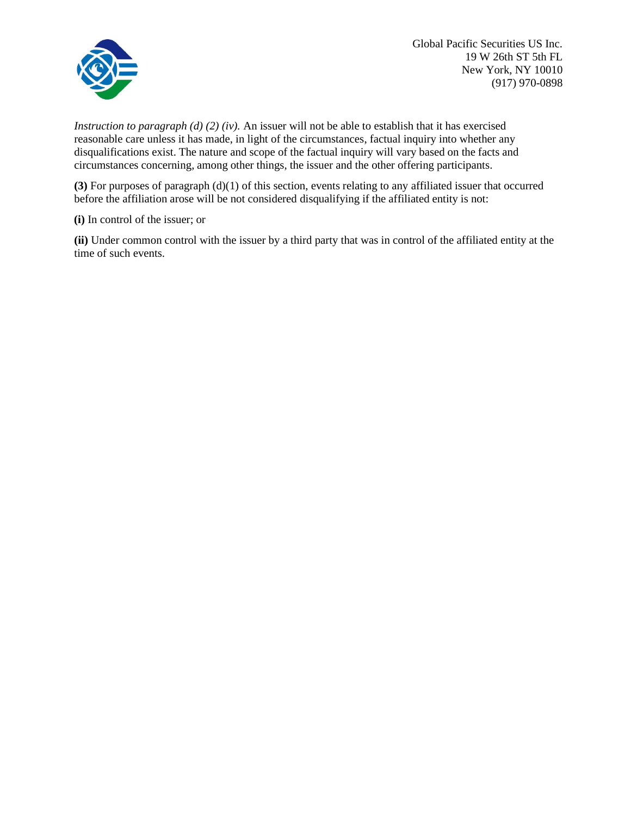

*Instruction to paragraph (d) (2) (iv).* An [issuer w](https://www.law.cornell.edu/definitions/index.php?width=840&height=800&iframe=true&def_id=4564dd69d3d9c2ae3243454aff072702&term_occur=21&term_src=Title%3A17%3AChapter%3AII%3APart%3A230%3ASubjgrp%3AD%3A230.506)ill not be able to establish that it has exercised reasonable care unless it has made, in light of the circumstances, factual inquiry into whether any disqualifications exist. The nature and scope of the factual inquiry will vary based on the facts and circumstances concerning, among other things, the [issuer](https://www.law.cornell.edu/definitions/index.php?width=840&height=800&iframe=true&def_id=4564dd69d3d9c2ae3243454aff072702&term_occur=22&term_src=Title%3A17%3AChapter%3AII%3APart%3A230%3ASubjgrp%3AD%3A230.506) and the other offering participants.

**(3)** For purposes of [paragraph \(d\)\(1\) o](https://www.law.cornell.edu/cfr/text/17/230.506#d_1)f this section, events relating to any [affiliated issuer t](https://www.law.cornell.edu/definitions/index.php?width=840&height=800&iframe=true&def_id=152b62f9d54a0d102624a66ef4361e77&term_occur=2&term_src=Title%3A17%3AChapter%3AII%3APart%3A230%3ASubjgrp%3AD%3A230.506)hat occurred before the affiliation arose will be not considered disqualifying if the [affiliated](https://www.law.cornell.edu/definitions/index.php?width=840&height=800&iframe=true&def_id=e78e8fda5d9bc78ce2bb85600b83350c&term_occur=3&term_src=Title%3A17%3AChapter%3AII%3APart%3A230%3ASubjgrp%3AD%3A230.506) entity is not:

**(i)** In control of the [issuer;](https://www.law.cornell.edu/definitions/index.php?width=840&height=800&iframe=true&def_id=4564dd69d3d9c2ae3243454aff072702&term_occur=23&term_src=Title%3A17%3AChapter%3AII%3APart%3A230%3ASubjgrp%3AD%3A230.506) or

**(ii)** Under common control with the [issuer b](https://www.law.cornell.edu/definitions/index.php?width=840&height=800&iframe=true&def_id=4564dd69d3d9c2ae3243454aff072702&term_occur=24&term_src=Title%3A17%3AChapter%3AII%3APart%3A230%3ASubjgrp%3AD%3A230.506)y a third party that was in control of the [affiliated e](https://www.law.cornell.edu/definitions/index.php?width=840&height=800&iframe=true&def_id=e78e8fda5d9bc78ce2bb85600b83350c&term_occur=4&term_src=Title%3A17%3AChapter%3AII%3APart%3A230%3ASubjgrp%3AD%3A230.506)ntity at the time of such events.